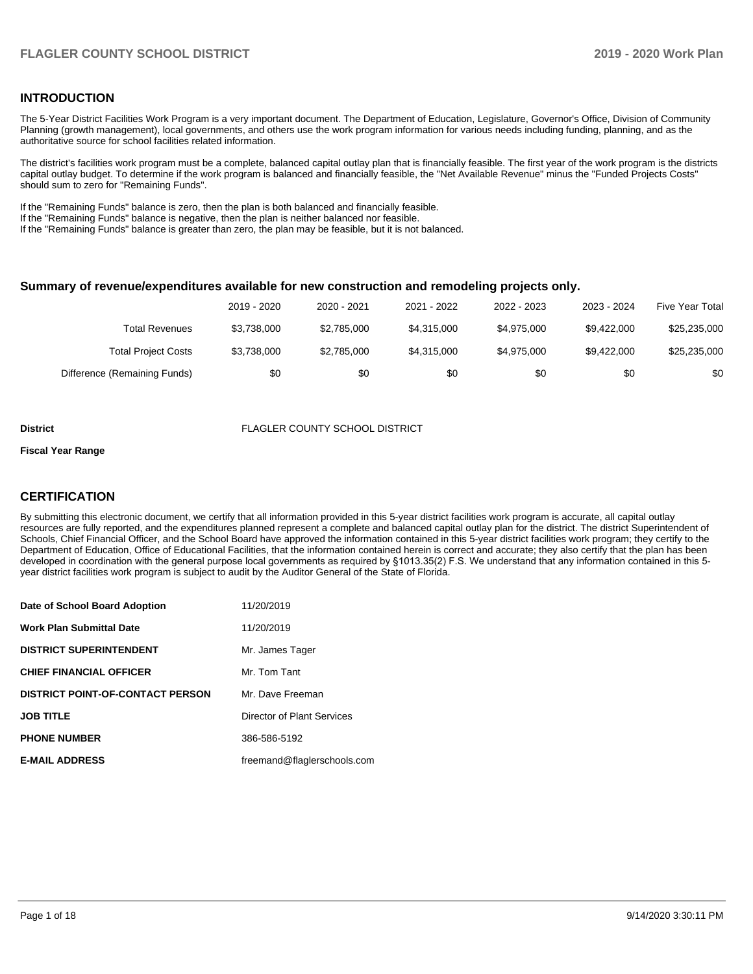## **INTRODUCTION**

The 5-Year District Facilities Work Program is a very important document. The Department of Education, Legislature, Governor's Office, Division of Community Planning (growth management), local governments, and others use the work program information for various needs including funding, planning, and as the authoritative source for school facilities related information.

The district's facilities work program must be a complete, balanced capital outlay plan that is financially feasible. The first year of the work program is the districts capital outlay budget. To determine if the work program is balanced and financially feasible, the "Net Available Revenue" minus the "Funded Projects Costs" should sum to zero for "Remaining Funds".

If the "Remaining Funds" balance is zero, then the plan is both balanced and financially feasible.

If the "Remaining Funds" balance is negative, then the plan is neither balanced nor feasible.

If the "Remaining Funds" balance is greater than zero, the plan may be feasible, but it is not balanced.

#### **Summary of revenue/expenditures available for new construction and remodeling projects only.**

| <b>Five Year Total</b> | 2023 - 2024 | 2022 - 2023 | 2021 - 2022 | 2020 - 2021 | 2019 - 2020 |                              |
|------------------------|-------------|-------------|-------------|-------------|-------------|------------------------------|
| \$25,235,000           | \$9.422,000 | \$4.975.000 | \$4.315.000 | \$2.785.000 | \$3,738,000 | Total Revenues               |
| \$25,235,000           | \$9.422,000 | \$4,975,000 | \$4.315.000 | \$2,785,000 | \$3,738,000 | <b>Total Project Costs</b>   |
| \$0                    | \$0         | \$0         | \$0         | \$0         | \$0         | Difference (Remaining Funds) |

#### **District** FLAGLER COUNTY SCHOOL DISTRICT

#### **Fiscal Year Range**

## **CERTIFICATION**

By submitting this electronic document, we certify that all information provided in this 5-year district facilities work program is accurate, all capital outlay resources are fully reported, and the expenditures planned represent a complete and balanced capital outlay plan for the district. The district Superintendent of Schools, Chief Financial Officer, and the School Board have approved the information contained in this 5-year district facilities work program; they certify to the Department of Education, Office of Educational Facilities, that the information contained herein is correct and accurate; they also certify that the plan has been developed in coordination with the general purpose local governments as required by §1013.35(2) F.S. We understand that any information contained in this 5 year district facilities work program is subject to audit by the Auditor General of the State of Florida.

| Date of School Board Adoption           | 11/20/2019                  |
|-----------------------------------------|-----------------------------|
| Work Plan Submittal Date                | 11/20/2019                  |
| <b>DISTRICT SUPERINTENDENT</b>          | Mr. James Tager             |
| <b>CHIEF FINANCIAL OFFICER</b>          | Mr. Tom Tant                |
| <b>DISTRICT POINT-OF-CONTACT PERSON</b> | Mr. Dave Freeman            |
| JOB TITLE                               | Director of Plant Services  |
| <b>PHONE NUMBER</b>                     | 386-586-5192                |
| <b>E-MAIL ADDRESS</b>                   | freemand@flaglerschools.com |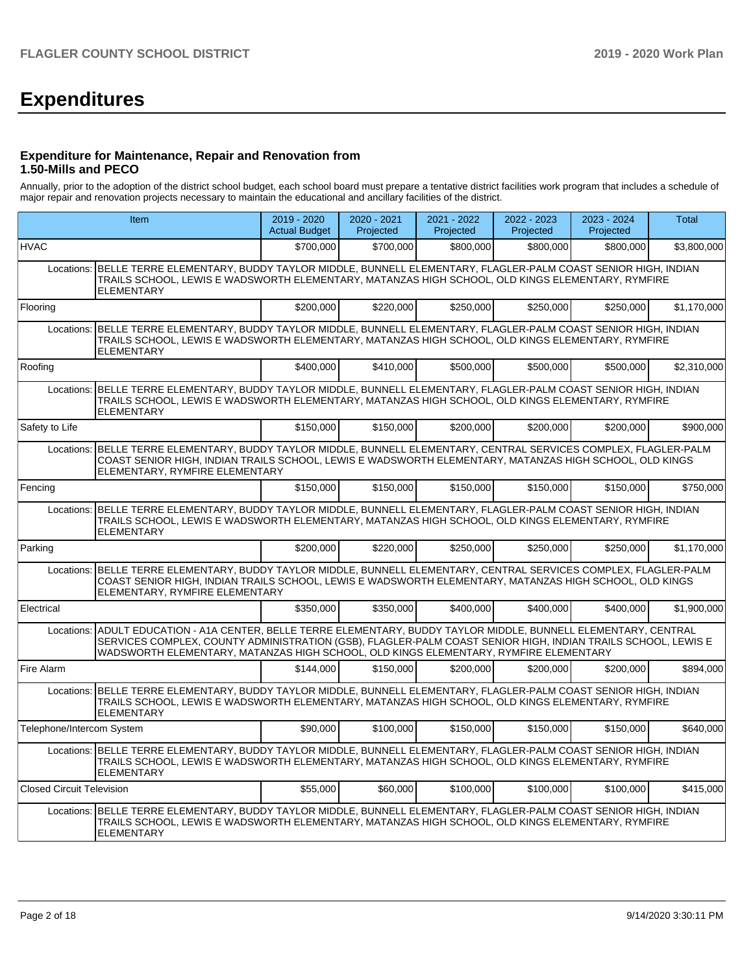# **Expenditures**

### **Expenditure for Maintenance, Repair and Renovation from 1.50-Mills and PECO**

Annually, prior to the adoption of the district school budget, each school board must prepare a tentative district facilities work program that includes a schedule of major repair and renovation projects necessary to maintain the educational and ancillary facilities of the district.

|                                  | Item                                                                                                                                                                                                                                                                                                                      | 2019 - 2020<br><b>Actual Budget</b> | 2020 - 2021<br>Projected | 2021 - 2022<br>Projected | 2022 - 2023<br>Projected | 2023 - 2024<br>Projected | Total       |  |  |  |
|----------------------------------|---------------------------------------------------------------------------------------------------------------------------------------------------------------------------------------------------------------------------------------------------------------------------------------------------------------------------|-------------------------------------|--------------------------|--------------------------|--------------------------|--------------------------|-------------|--|--|--|
| <b>HVAC</b>                      |                                                                                                                                                                                                                                                                                                                           | \$700,000                           | \$700,000                | \$800,000                | \$800,000                | \$800,000                | \$3,800,000 |  |  |  |
| Locations:                       | BELLE TERRE ELEMENTARY, BUDDY TAYLOR MIDDLE, BUNNELL ELEMENTARY, FLAGLER-PALM COAST SENIOR HIGH, INDIAN<br>TRAILS SCHOOL, LEWIS E WADSWORTH ELEMENTARY, MATANZAS HIGH SCHOOL, OLD KINGS ELEMENTARY, RYMFIRE<br><b>ELEMENTARY</b>                                                                                          |                                     |                          |                          |                          |                          |             |  |  |  |
| Flooring                         |                                                                                                                                                                                                                                                                                                                           | \$200,000                           | \$220,000                | \$250,000                | \$250,000                | \$250,000                | \$1,170,000 |  |  |  |
|                                  | Locations: BELLE TERRE ELEMENTARY, BUDDY TAYLOR MIDDLE, BUNNELL ELEMENTARY, FLAGLER-PALM COAST SENIOR HIGH, INDIAN<br>TRAILS SCHOOL, LEWIS E WADSWORTH ELEMENTARY, MATANZAS HIGH SCHOOL, OLD KINGS ELEMENTARY, RYMFIRE<br><b>ELEMENTARY</b>                                                                               |                                     |                          |                          |                          |                          |             |  |  |  |
| Roofing                          |                                                                                                                                                                                                                                                                                                                           | \$400.000                           | \$410,000                | \$500.000                | \$500,000                | \$500,000                | \$2,310,000 |  |  |  |
| Locations:                       | BELLE TERRE ELEMENTARY, BUDDY TAYLOR MIDDLE, BUNNELL ELEMENTARY, FLAGLER-PALM COAST SENIOR HIGH, INDIAN<br>TRAILS SCHOOL, LEWIS E WADSWORTH ELEMENTARY, MATANZAS HIGH SCHOOL, OLD KINGS ELEMENTARY, RYMFIRE<br><b>ELEMENTARY</b>                                                                                          |                                     |                          |                          |                          |                          |             |  |  |  |
| Safety to Life                   |                                                                                                                                                                                                                                                                                                                           | \$150,000                           | \$150,000                | \$200.000                | \$200.000                | \$200,000                | \$900,000   |  |  |  |
|                                  | Locations: BELLE TERRE ELEMENTARY, BUDDY TAYLOR MIDDLE, BUNNELL ELEMENTARY, CENTRAL SERVICES COMPLEX, FLAGLER-PALM<br>COAST SENIOR HIGH, INDIAN TRAILS SCHOOL, LEWIS E WADSWORTH ELEMENTARY, MATANZAS HIGH SCHOOL, OLD KINGS<br>ELEMENTARY, RYMFIRE ELEMENTARY                                                            |                                     |                          |                          |                          |                          |             |  |  |  |
| Fencing                          |                                                                                                                                                                                                                                                                                                                           | \$150.000                           | \$150,000                | \$150,000                | \$150,000                | \$150,000                | \$750,000   |  |  |  |
|                                  | Locations: BELLE TERRE ELEMENTARY, BUDDY TAYLOR MIDDLE, BUNNELL ELEMENTARY, FLAGLER-PALM COAST SENIOR HIGH, INDIAN<br>TRAILS SCHOOL, LEWIS E WADSWORTH ELEMENTARY, MATANZAS HIGH SCHOOL, OLD KINGS ELEMENTARY, RYMFIRE<br><b>ELEMENTARY</b>                                                                               |                                     |                          |                          |                          |                          |             |  |  |  |
| Parking                          |                                                                                                                                                                                                                                                                                                                           | \$200.000                           | \$220,000                | \$250,000                | \$250.000                | \$250,000                | \$1,170,000 |  |  |  |
|                                  | Locations: BELLE TERRE ELEMENTARY, BUDDY TAYLOR MIDDLE, BUNNELL ELEMENTARY, CENTRAL SERVICES COMPLEX, FLAGLER-PALM<br>COAST SENIOR HIGH, INDIAN TRAILS SCHOOL, LEWIS E WADSWORTH ELEMENTARY, MATANZAS HIGH SCHOOL, OLD KINGS<br>ELEMENTARY, RYMFIRE ELEMENTARY                                                            |                                     |                          |                          |                          |                          |             |  |  |  |
| Electrical                       |                                                                                                                                                                                                                                                                                                                           | \$350,000                           | \$350,000                | \$400,000                | \$400,000                | \$400,000                | \$1,900,000 |  |  |  |
|                                  | Locations: ADULT EDUCATION - A1A CENTER, BELLE TERRE ELEMENTARY, BUDDY TAYLOR MIDDLE, BUNNELL ELEMENTARY, CENTRAL<br>SERVICES COMPLEX, COUNTY ADMINISTRATION (GSB), FLAGLER-PALM COAST SENIOR HIGH, INDIAN TRAILS SCHOOL, LEWIS E<br>WADSWORTH ELEMENTARY, MATANZAS HIGH SCHOOL, OLD KINGS ELEMENTARY, RYMFIRE ELEMENTARY |                                     |                          |                          |                          |                          |             |  |  |  |
| Fire Alarm                       |                                                                                                                                                                                                                                                                                                                           | \$144.000                           | \$150,000                | \$200.000                | \$200,000                | \$200,000                | \$894.000   |  |  |  |
| Locations:                       | BELLE TERRE ELEMENTARY, BUDDY TAYLOR MIDDLE, BUNNELL ELEMENTARY, FLAGLER-PALM COAST SENIOR HIGH, INDIAN<br>TRAILS SCHOOL, LEWIS E WADSWORTH ELEMENTARY, MATANZAS HIGH SCHOOL, OLD KINGS ELEMENTARY, RYMFIRE<br><b>ELEMENTARY</b>                                                                                          |                                     |                          |                          |                          |                          |             |  |  |  |
| Telephone/Intercom System        |                                                                                                                                                                                                                                                                                                                           | \$90,000                            | \$100,000                | \$150,000                | \$150,000                | \$150,000                | \$640.000   |  |  |  |
|                                  | Locations: BELLE TERRE ELEMENTARY, BUDDY TAYLOR MIDDLE, BUNNELL ELEMENTARY, FLAGLER-PALM COAST SENIOR HIGH, INDIAN<br>TRAILS SCHOOL, LEWIS E WADSWORTH ELEMENTARY, MATANZAS HIGH SCHOOL, OLD KINGS ELEMENTARY, RYMFIRE<br><b>ELEMENTARY</b>                                                                               |                                     |                          |                          |                          |                          |             |  |  |  |
| <b>Closed Circuit Television</b> |                                                                                                                                                                                                                                                                                                                           | \$55,000                            | \$60,000                 | \$100,000                | \$100,000                | \$100,000                | \$415.000   |  |  |  |
|                                  | Locations: BELLE TERRE ELEMENTARY, BUDDY TAYLOR MIDDLE, BUNNELL ELEMENTARY, FLAGLER-PALM COAST SENIOR HIGH, INDIAN<br>TRAILS SCHOOL, LEWIS E WADSWORTH ELEMENTARY, MATANZAS HIGH SCHOOL, OLD KINGS ELEMENTARY, RYMFIRE<br><b>ELEMENTARY</b>                                                                               |                                     |                          |                          |                          |                          |             |  |  |  |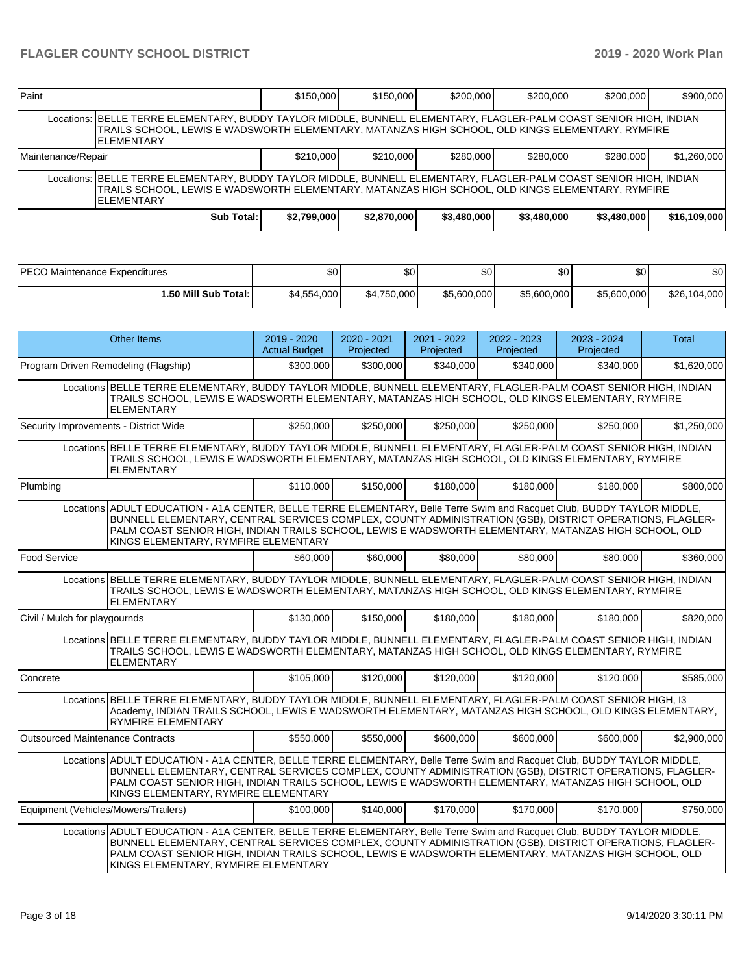| Paint                                                                                                                                                                                                                                        |                                                                                                                                                                                                                                             | \$150,000   | \$150,000   | \$200,000   | \$200.000   | \$200,000   | \$900,000    |  |  |  |  |
|----------------------------------------------------------------------------------------------------------------------------------------------------------------------------------------------------------------------------------------------|---------------------------------------------------------------------------------------------------------------------------------------------------------------------------------------------------------------------------------------------|-------------|-------------|-------------|-------------|-------------|--------------|--|--|--|--|
|                                                                                                                                                                                                                                              | Locations: BELLE TERRE ELEMENTARY, BUDDY TAYLOR MIDDLE, BUNNELL ELEMENTARY, FLAGLER-PALM COAST SENIOR HIGH, INDIAN<br>TRAILS SCHOOL, LEWIS E WADSWORTH ELEMENTARY, MATANZAS HIGH SCHOOL, OLD KINGS ELEMENTARY, RYMFIRE<br><b>ELEMENTARY</b> |             |             |             |             |             |              |  |  |  |  |
| \$210,000<br>\$210,000<br>\$280.000<br>\$280,000<br>Maintenance/Repair                                                                                                                                                                       |                                                                                                                                                                                                                                             |             |             |             |             | \$280,000   | \$1,260,000  |  |  |  |  |
| Locations: BELLE TERRE ELEMENTARY, BUDDY TAYLOR MIDDLE, BUNNELL ELEMENTARY, FLAGLER-PALM COAST SENIOR HIGH, INDIAN<br>TRAILS SCHOOL, LEWIS E WADSWORTH ELEMENTARY, MATANZAS HIGH SCHOOL, OLD KINGS ELEMENTARY, RYMFIRE<br><b>IELEMENTARY</b> |                                                                                                                                                                                                                                             |             |             |             |             |             |              |  |  |  |  |
|                                                                                                                                                                                                                                              | Sub Total:                                                                                                                                                                                                                                  | \$2,799,000 | \$2,870,000 | \$3,480,000 | \$3,480,000 | \$3,480,000 | \$16,109,000 |  |  |  |  |

| <b>PECO Mair</b>         | \$0         | ሖጣ          | ሖ           | ሖ           | ¢∩          | ሶስ           |
|--------------------------|-------------|-------------|-------------|-------------|-------------|--------------|
| Maintenance Expenditures |             | Ψ           | .DU         | w           | υU          | י טפ         |
| 1.50 Mill Sub Total: İ   | \$4,554,000 | \$4,750,000 | \$5,600,000 | \$5,600,000 | \$5,600,000 | \$26,104,000 |

|                                       | <b>Other Items</b>                                                                                                                                                                                                                                                                                                                                                                   | 2019 - 2020<br><b>Actual Budget</b> | 2020 - 2021<br>Projected | 2021 - 2022<br>Projected | 2022 - 2023<br>Projected | 2023 - 2024<br>Projected | Total       |  |  |
|---------------------------------------|--------------------------------------------------------------------------------------------------------------------------------------------------------------------------------------------------------------------------------------------------------------------------------------------------------------------------------------------------------------------------------------|-------------------------------------|--------------------------|--------------------------|--------------------------|--------------------------|-------------|--|--|
| Program Driven Remodeling (Flagship)  |                                                                                                                                                                                                                                                                                                                                                                                      | \$300,000                           | \$300,000                | \$340,000                | \$340,000                | \$340,000                | \$1,620,000 |  |  |
|                                       | Locations BELLE TERRE ELEMENTARY, BUDDY TAYLOR MIDDLE, BUNNELL ELEMENTARY, FLAGLER-PALM COAST SENIOR HIGH, INDIAN<br>TRAILS SCHOOL, LEWIS E WADSWORTH ELEMENTARY, MATANZAS HIGH SCHOOL, OLD KINGS ELEMENTARY, RYMFIRE<br><b>ELEMENTARY</b>                                                                                                                                           |                                     |                          |                          |                          |                          |             |  |  |
| Security Improvements - District Wide |                                                                                                                                                                                                                                                                                                                                                                                      | \$250,000                           | \$250,000                | \$250,000                | \$250,000                | \$250,000                | \$1,250,000 |  |  |
|                                       | Locations BELLE TERRE ELEMENTARY, BUDDY TAYLOR MIDDLE, BUNNELL ELEMENTARY, FLAGLER-PALM COAST SENIOR HIGH, INDIAN<br>TRAILS SCHOOL, LEWIS E WADSWORTH ELEMENTARY, MATANZAS HIGH SCHOOL, OLD KINGS ELEMENTARY, RYMFIRE<br><b>ELEMENTARY</b>                                                                                                                                           |                                     |                          |                          |                          |                          |             |  |  |
| Plumbing                              |                                                                                                                                                                                                                                                                                                                                                                                      | \$110,000                           | \$150,000                | \$180,000                | \$180,000                | \$180,000                | \$800,000   |  |  |
|                                       | Locations ADULT EDUCATION - A1A CENTER, BELLE TERRE ELEMENTARY, Belle Terre Swim and Racquet Club, BUDDY TAYLOR MIDDLE,<br>BUNNELL ELEMENTARY, CENTRAL SERVICES COMPLEX, COUNTY ADMINISTRATION (GSB), DISTRICT OPERATIONS, FLAGLER-<br>PALM COAST SENIOR HIGH, INDIAN TRAILS SCHOOL, LEWIS E WADSWORTH ELEMENTARY, MATANZAS HIGH SCHOOL, OLD<br>KINGS ELEMENTARY, RYMFIRE ELEMENTARY |                                     |                          |                          |                          |                          |             |  |  |
| <b>Food Service</b>                   |                                                                                                                                                                                                                                                                                                                                                                                      | \$60,000                            | \$60,000                 | \$80,000                 | \$80,000                 | \$80,000                 | \$360,000   |  |  |
|                                       | Locations BELLE TERRE ELEMENTARY, BUDDY TAYLOR MIDDLE, BUNNELL ELEMENTARY, FLAGLER-PALM COAST SENIOR HIGH, INDIAN<br>TRAILS SCHOOL, LEWIS E WADSWORTH ELEMENTARY, MATANZAS HIGH SCHOOL, OLD KINGS ELEMENTARY, RYMFIRE<br><b>ELEMENTARY</b>                                                                                                                                           |                                     |                          |                          |                          |                          |             |  |  |
| Civil / Mulch for playgournds         |                                                                                                                                                                                                                                                                                                                                                                                      | \$130,000                           | \$150,000                | \$180,000                | \$180,000                | \$180,000                | \$820,000   |  |  |
|                                       | Locations BELLE TERRE ELEMENTARY, BUDDY TAYLOR MIDDLE, BUNNELL ELEMENTARY, FLAGLER-PALM COAST SENIOR HIGH, INDIAN<br>TRAILS SCHOOL, LEWIS E WADSWORTH ELEMENTARY, MATANZAS HIGH SCHOOL, OLD KINGS ELEMENTARY, RYMFIRE<br><b>ELEMENTARY</b>                                                                                                                                           |                                     |                          |                          |                          |                          |             |  |  |
| Concrete                              |                                                                                                                                                                                                                                                                                                                                                                                      | \$105,000                           | \$120,000                | \$120,000                | \$120,000                | \$120,000                | \$585,000   |  |  |
|                                       | Locations BELLE TERRE ELEMENTARY, BUDDY TAYLOR MIDDLE, BUNNELL ELEMENTARY, FLAGLER-PALM COAST SENIOR HIGH, 13<br>Academy, INDIAN TRAILS SCHOOL, LEWIS E WADSWORTH ELEMENTARY, MATANZAS HIGH SCHOOL, OLD KINGS ELEMENTARY,<br><b>RYMFIRE ELEMENTARY</b>                                                                                                                               |                                     |                          |                          |                          |                          |             |  |  |
| Outsourced Maintenance Contracts      |                                                                                                                                                                                                                                                                                                                                                                                      | \$550,000                           | \$550,000                | \$600,000                | \$600,000                | \$600,000                | \$2,900,000 |  |  |
|                                       | Locations ADULT EDUCATION - A1A CENTER, BELLE TERRE ELEMENTARY, Belle Terre Swim and Racquet Club, BUDDY TAYLOR MIDDLE,<br>BUNNELL ELEMENTARY, CENTRAL SERVICES COMPLEX, COUNTY ADMINISTRATION (GSB), DISTRICT OPERATIONS, FLAGLER-<br>PALM COAST SENIOR HIGH, INDIAN TRAILS SCHOOL, LEWIS E WADSWORTH ELEMENTARY, MATANZAS HIGH SCHOOL, OLD<br>KINGS ELEMENTARY, RYMFIRE ELEMENTARY |                                     |                          |                          |                          |                          |             |  |  |
| Equipment (Vehicles/Mowers/Trailers)  |                                                                                                                                                                                                                                                                                                                                                                                      | \$100.000                           | \$140,000                | \$170,000                | \$170,000                | \$170,000                | \$750,000   |  |  |
|                                       | Locations ADULT EDUCATION - A1A CENTER, BELLE TERRE ELEMENTARY, Belle Terre Swim and Racquet Club, BUDDY TAYLOR MIDDLE,<br>BUNNELL ELEMENTARY, CENTRAL SERVICES COMPLEX, COUNTY ADMINISTRATION (GSB), DISTRICT OPERATIONS, FLAGLER-<br>PALM COAST SENIOR HIGH, INDIAN TRAILS SCHOOL, LEWIS E WADSWORTH ELEMENTARY, MATANZAS HIGH SCHOOL, OLD<br>KINGS ELEMENTARY, RYMFIRE ELEMENTARY |                                     |                          |                          |                          |                          |             |  |  |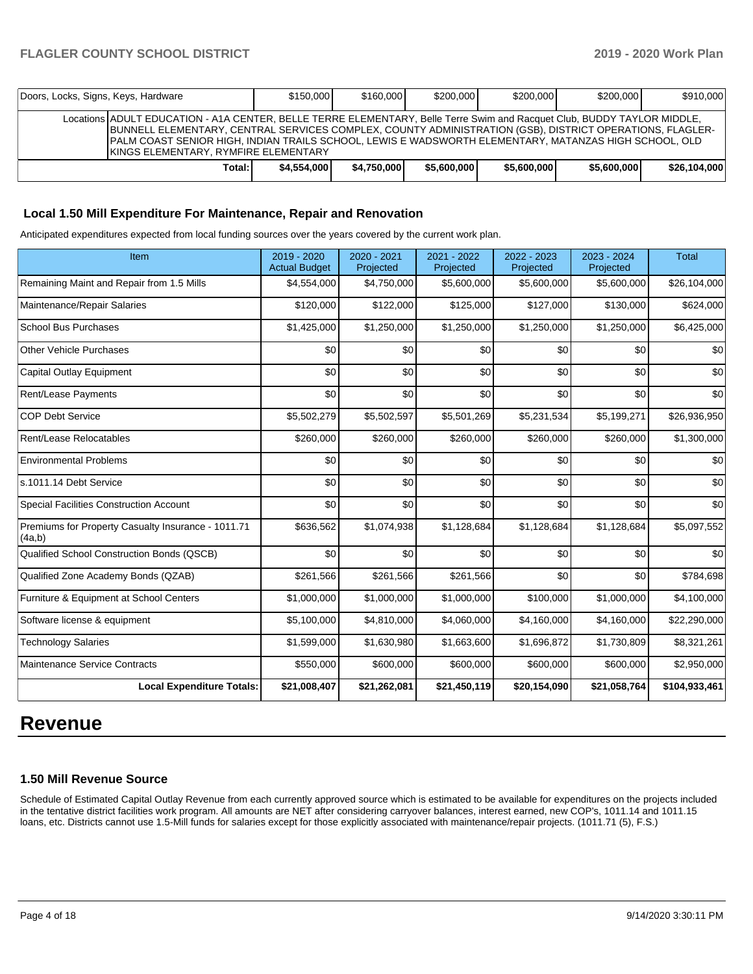| Doors, Locks, Signs, Keys, Hardware |                                                                                                                                                                                                                                                                                                                                                                                        | \$150,000   | \$160,000   | \$200.000   | \$200,000   | \$200,000   | \$910,000    |  |
|-------------------------------------|----------------------------------------------------------------------------------------------------------------------------------------------------------------------------------------------------------------------------------------------------------------------------------------------------------------------------------------------------------------------------------------|-------------|-------------|-------------|-------------|-------------|--------------|--|
|                                     | Locations ADULT EDUCATION - A1A CENTER, BELLE TERRE ELEMENTARY, Belle Terre Swim and Racquet Club, BUDDY TAYLOR MIDDLE,<br>BUNNELL ELEMENTARY, CENTRAL SERVICES COMPLEX, COUNTY ADMINISTRATION (GSB), DISTRICT OPERATIONS, FLAGLER-<br>IPALM COAST SENIOR HIGH. INDIAN TRAILS SCHOOL. LEWIS E WADSWORTH ELEMENTARY. MATANZAS HIGH SCHOOL. OLD<br>IKINGS ELEMENTARY, RYMFIRE ELEMENTARY |             |             |             |             |             |              |  |
|                                     | Total:                                                                                                                                                                                                                                                                                                                                                                                 | \$4,554,000 | \$4.750,000 | \$5,600,000 | \$5,600,000 | \$5,600,000 | \$26,104,000 |  |

#### **Local 1.50 Mill Expenditure For Maintenance, Repair and Renovation**

Anticipated expenditures expected from local funding sources over the years covered by the current work plan.

| Item                                                         | 2019 - 2020<br><b>Actual Budget</b> | 2020 - 2021<br>Projected | 2021 - 2022<br>Projected | 2022 - 2023<br>Projected | 2023 - 2024<br>Projected | <b>Total</b>  |
|--------------------------------------------------------------|-------------------------------------|--------------------------|--------------------------|--------------------------|--------------------------|---------------|
| Remaining Maint and Repair from 1.5 Mills                    | \$4,554,000                         | \$4,750,000              | \$5,600,000              | \$5,600,000              | \$5,600,000              | \$26,104,000  |
| Maintenance/Repair Salaries                                  | \$120,000                           | \$122,000                | \$125,000                | \$127,000                | \$130,000                | \$624,000     |
| <b>School Bus Purchases</b>                                  | \$1,425,000                         | \$1,250,000              | \$1,250,000              | \$1,250,000              | \$1,250,000              | \$6,425,000   |
| <b>Other Vehicle Purchases</b>                               | \$0                                 | \$0                      | \$0                      | \$0                      | \$0                      | \$0           |
| Capital Outlay Equipment                                     | \$0                                 | \$0                      | \$0                      | \$0                      | \$0                      | \$0           |
| Rent/Lease Payments                                          | \$0                                 | \$0                      | \$0                      | \$0                      | \$0                      | \$0           |
| <b>COP Debt Service</b>                                      | \$5,502,279                         | \$5,502,597              | \$5,501,269              | \$5,231,534              | \$5,199,271              | \$26,936,950  |
| Rent/Lease Relocatables                                      | \$260,000                           | \$260,000                | \$260,000                | \$260,000                | \$260,000                | \$1,300,000   |
| <b>Environmental Problems</b>                                | \$0                                 | \$0                      | \$0                      | \$0                      | \$0                      | \$0           |
| s.1011.14 Debt Service                                       | \$0                                 | \$0                      | \$0                      | \$0                      | \$0                      | \$0           |
| <b>Special Facilities Construction Account</b>               | \$0                                 | \$0                      | \$0                      | \$0                      | \$0                      | \$0           |
| Premiums for Property Casualty Insurance - 1011.71<br>(4a,b) | \$636,562                           | \$1,074,938              | \$1,128,684              | \$1,128,684              | \$1,128,684              | \$5,097,552   |
| Qualified School Construction Bonds (QSCB)                   | \$0                                 | \$0                      | \$0                      | \$0                      | \$0                      | \$0           |
| Qualified Zone Academy Bonds (QZAB)                          | \$261,566                           | \$261,566                | \$261,566                | \$0                      | \$0                      | \$784,698     |
| Furniture & Equipment at School Centers                      | \$1,000,000                         | \$1,000,000              | \$1,000,000              | \$100,000                | \$1,000,000              | \$4,100,000   |
| Software license & equipment                                 | \$5,100,000                         | \$4,810,000              | \$4,060,000              | \$4,160,000              | \$4,160,000              | \$22,290,000  |
| <b>Technology Salaries</b>                                   | \$1,599,000                         | \$1,630,980              | \$1,663,600              | \$1,696,872              | \$1,730,809              | \$8,321,261   |
| Maintenance Service Contracts                                | \$550,000                           | \$600,000                | \$600,000                | \$600,000                | \$600,000                | \$2,950,000   |
| <b>Local Expenditure Totals:</b>                             | \$21,008,407                        | \$21,262,081             | \$21,450,119             | \$20,154,090             | \$21,058,764             | \$104,933,461 |

# **Revenue**

### **1.50 Mill Revenue Source**

Schedule of Estimated Capital Outlay Revenue from each currently approved source which is estimated to be available for expenditures on the projects included in the tentative district facilities work program. All amounts are NET after considering carryover balances, interest earned, new COP's, 1011.14 and 1011.15 loans, etc. Districts cannot use 1.5-Mill funds for salaries except for those explicitly associated with maintenance/repair projects. (1011.71 (5), F.S.)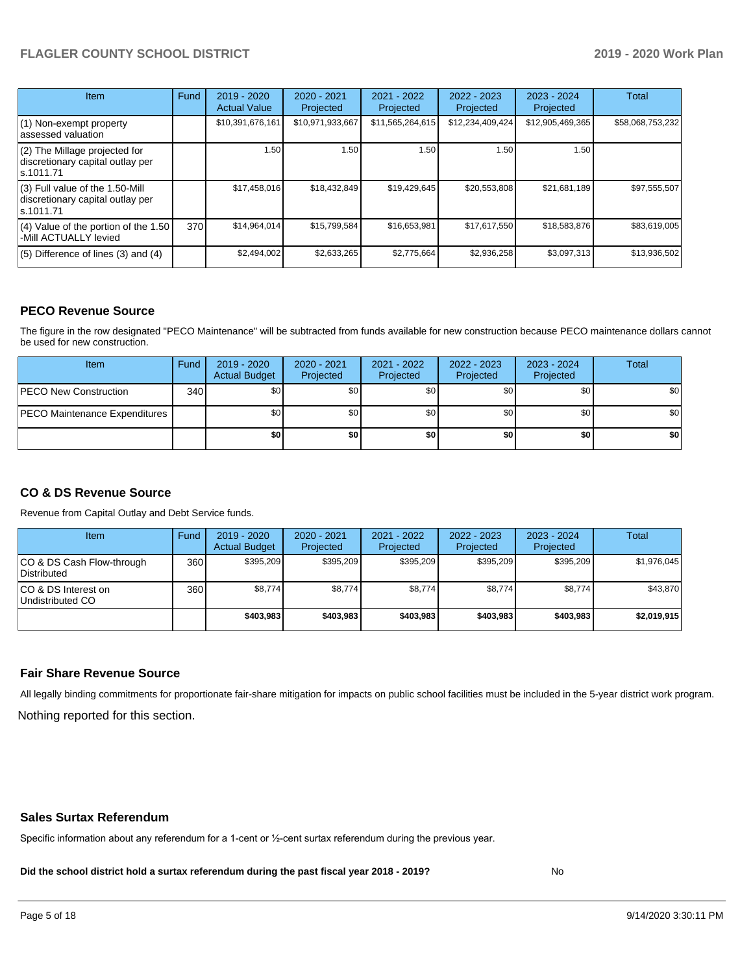| <b>Item</b>                                                                         | Fund | $2019 - 2020$<br><b>Actual Value</b> | $2020 - 2021$<br>Projected | 2021 - 2022<br>Projected | $2022 - 2023$<br>Projected | $2023 - 2024$<br>Projected | Total            |
|-------------------------------------------------------------------------------------|------|--------------------------------------|----------------------------|--------------------------|----------------------------|----------------------------|------------------|
| (1) Non-exempt property<br>lassessed valuation                                      |      | \$10,391,676,161                     | \$10,971,933,667           | \$11,565,264,615         | \$12,234,409,424           | \$12,905,469,365           | \$58,068,753,232 |
| (2) The Millage projected for<br>discretionary capital outlay per<br>ls.1011.71     |      | 1.50                                 | 1.50                       | 1.50 <sub>1</sub>        | 1.50                       | 1.50                       |                  |
| $(3)$ Full value of the 1.50-Mill<br>discretionary capital outlay per<br>ls.1011.71 |      | \$17,458,016                         | \$18,432,849               | \$19,429,645             | \$20,553,808               | \$21,681,189               | \$97,555,507     |
| $(4)$ Value of the portion of the 1.50<br>-Mill ACTUALLY levied                     | 370  | \$14,964,014                         | \$15,799,584               | \$16,653,981             | \$17,617,550               | \$18,583,876               | \$83,619,005     |
| $(5)$ Difference of lines (3) and (4)                                               |      | \$2,494,002                          | \$2,633,265                | \$2,775,664              | \$2,936,258                | \$3,097,313                | \$13,936,502     |

#### **PECO Revenue Source**

The figure in the row designated "PECO Maintenance" will be subtracted from funds available for new construction because PECO maintenance dollars cannot be used for new construction.

| <b>Item</b>                          | Fund         | $2019 - 2020$<br><b>Actual Budget</b> | $2020 - 2021$<br>Projected | 2021 - 2022<br>Projected | $2022 - 2023$<br>Projected | 2023 - 2024<br>Projected | Total            |
|--------------------------------------|--------------|---------------------------------------|----------------------------|--------------------------|----------------------------|--------------------------|------------------|
| <b>IPECO New Construction</b>        | 340 <b>I</b> | \$0                                   | \$0 <sub>1</sub>           | \$0                      | \$0 <sub>1</sub>           | \$0                      | \$0 <sub>1</sub> |
| <b>PECO Maintenance Expenditures</b> |              | \$0 I                                 | \$0 <sub>1</sub>           | \$0                      | \$0 <sub>1</sub>           | \$0                      | \$0              |
|                                      |              | \$0                                   | \$0                        | \$0                      | \$0                        | \$0                      | \$0              |

## **CO & DS Revenue Source**

Revenue from Capital Outlay and Debt Service funds.

| Item                                      | Fund | 2019 - 2020<br><b>Actual Budget</b> | 2020 - 2021<br>Projected | 2021 - 2022<br>Projected | $2022 - 2023$<br>Projected | $2023 - 2024$<br>Projected | Total       |
|-------------------------------------------|------|-------------------------------------|--------------------------|--------------------------|----------------------------|----------------------------|-------------|
| ICO & DS Cash Flow-through<br>Distributed | 360  | \$395.209                           | \$395.209                | \$395.209                | \$395.209                  | \$395.209                  | \$1,976,045 |
| ICO & DS Interest on<br>Undistributed CO  | 360  | \$8.774                             | \$8,774                  | \$8,774                  | \$8.774                    | \$8,774                    | \$43,870    |
|                                           |      | \$403.983                           | \$403.983                | \$403.983                | \$403,983                  | \$403.983                  | \$2,019,915 |

#### **Fair Share Revenue Source**

Nothing reported for this section. All legally binding commitments for proportionate fair-share mitigation for impacts on public school facilities must be included in the 5-year district work program.

#### **Sales Surtax Referendum**

Specific information about any referendum for a 1-cent or ½-cent surtax referendum during the previous year.

**Did the school district hold a surtax referendum during the past fiscal year 2018 - 2019?**

No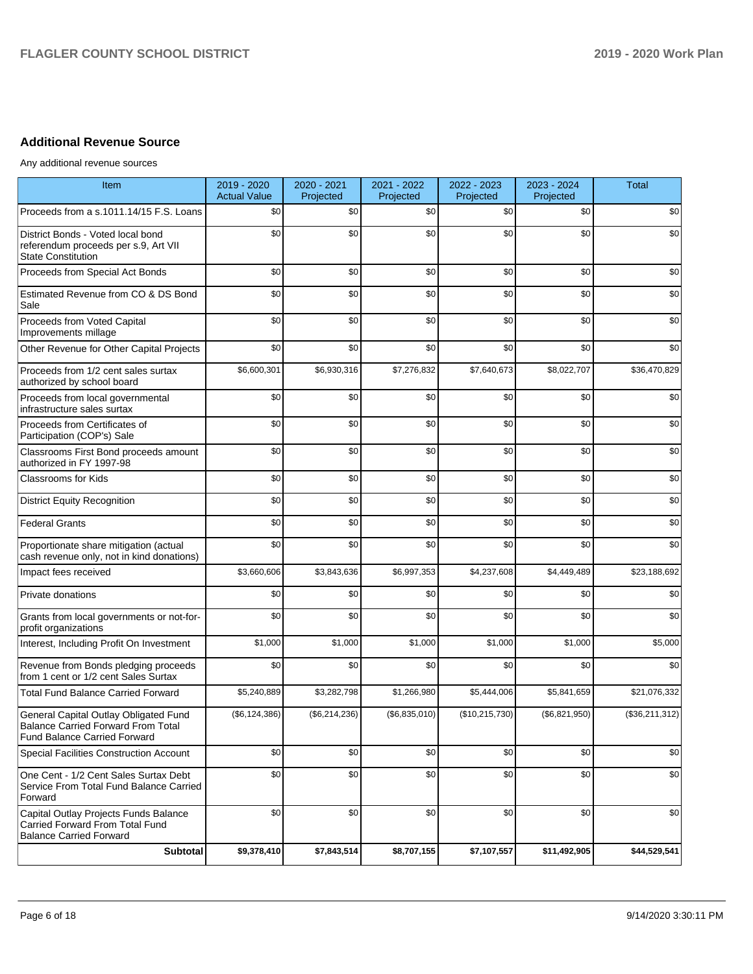# **Additional Revenue Source**

Any additional revenue sources

| <b>Item</b>                                                                                                               | 2019 - 2020<br><b>Actual Value</b> | 2020 - 2021<br>Projected | 2021 - 2022<br>Projected | 2022 - 2023<br>Projected | 2023 - 2024<br>Projected | <b>Total</b>   |
|---------------------------------------------------------------------------------------------------------------------------|------------------------------------|--------------------------|--------------------------|--------------------------|--------------------------|----------------|
| Proceeds from a s.1011.14/15 F.S. Loans                                                                                   | \$0                                | \$0                      | \$0                      | \$0                      | \$0                      | \$0            |
| District Bonds - Voted local bond<br>referendum proceeds per s.9, Art VII<br><b>State Constitution</b>                    | \$0                                | \$0                      | \$0                      | \$0                      | \$0                      | \$0            |
| Proceeds from Special Act Bonds                                                                                           | \$0                                | \$0                      | \$0                      | \$0                      | \$0                      | \$0            |
| Estimated Revenue from CO & DS Bond<br>Sale                                                                               | \$0                                | \$0                      | \$0                      | \$0                      | \$0                      | \$0            |
| Proceeds from Voted Capital<br>Improvements millage                                                                       | \$0                                | \$0                      | \$0                      | \$0                      | \$0                      | \$0            |
| Other Revenue for Other Capital Projects                                                                                  | \$0                                | \$0                      | \$0                      | \$0                      | \$0                      | \$0            |
| Proceeds from 1/2 cent sales surtax<br>authorized by school board                                                         | \$6,600,301                        | \$6,930,316              | \$7,276,832              | \$7,640,673              | \$8,022,707              | \$36,470,829   |
| Proceeds from local governmental<br>infrastructure sales surtax                                                           | \$0                                | \$0                      | \$0                      | \$0                      | \$0                      | \$0            |
| Proceeds from Certificates of<br>Participation (COP's) Sale                                                               | \$0                                | \$0                      | \$0                      | \$0                      | \$0                      | \$0            |
| Classrooms First Bond proceeds amount<br>authorized in FY 1997-98                                                         | \$0                                | \$0                      | \$0                      | \$0                      | \$0                      | \$0            |
| <b>Classrooms for Kids</b>                                                                                                | \$0                                | \$0                      | \$0                      | \$0                      | \$0                      | \$0            |
| <b>District Equity Recognition</b>                                                                                        | \$0                                | \$0                      | \$0                      | \$0                      | \$0                      | \$0            |
| <b>Federal Grants</b>                                                                                                     | \$0                                | \$0                      | \$0                      | \$0                      | \$0                      | \$0            |
| Proportionate share mitigation (actual<br>cash revenue only, not in kind donations)                                       | \$0                                | \$0                      | \$0                      | \$0                      | \$0                      | \$0            |
| Impact fees received                                                                                                      | \$3,660,606                        | \$3,843,636              | \$6,997,353              | \$4,237,608              | \$4,449,489              | \$23,188,692   |
| Private donations                                                                                                         | \$0                                | \$0                      | \$0                      | \$0                      | \$0                      | \$0            |
| Grants from local governments or not-for-<br>profit organizations                                                         | \$0                                | \$0                      | \$0                      | \$0                      | \$0                      | \$0            |
| Interest, Including Profit On Investment                                                                                  | \$1,000                            | \$1,000                  | \$1,000                  | \$1,000                  | \$1,000                  | \$5,000        |
| Revenue from Bonds pledging proceeds<br>from 1 cent or 1/2 cent Sales Surtax                                              | \$0                                | \$0                      | \$0                      | \$0                      | \$0                      | \$0            |
| <b>Total Fund Balance Carried Forward</b>                                                                                 | \$5,240,889                        | \$3,282,798              | \$1,266,980              | \$5,444,006              | \$5,841,659              | \$21,076,332   |
| General Capital Outlay Obligated Fund<br><b>Balance Carried Forward From Total</b><br><b>Fund Balance Carried Forward</b> | (\$6, 124, 386)                    | (\$6,214,236)            | (\$6,835,010)            | (\$10,215,730)           | (\$6,821,950)            | (\$36,211,312) |
| Special Facilities Construction Account                                                                                   | \$0                                | \$0                      | \$0                      | \$0                      | \$0                      | \$0            |
| One Cent - 1/2 Cent Sales Surtax Debt<br>Service From Total Fund Balance Carried<br>Forward                               | \$0                                | \$0                      | \$0                      | \$0                      | \$0                      | \$0            |
| Capital Outlay Projects Funds Balance<br>Carried Forward From Total Fund<br><b>Balance Carried Forward</b>                | \$0                                | \$0                      | \$0                      | \$0                      | \$0                      | \$0            |
| Subtotal                                                                                                                  | \$9,378,410                        | \$7,843,514              | \$8,707,155              | \$7,107,557              | \$11,492,905             | \$44,529,541   |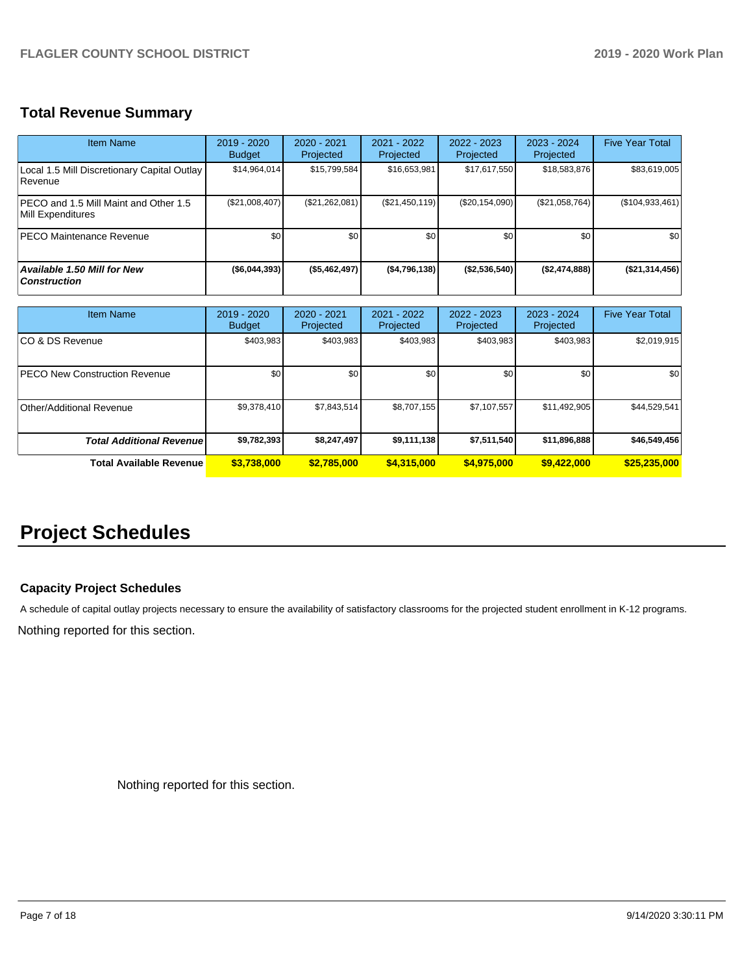# **Total Revenue Summary**

| Item Name                                                  | $2019 - 2020$<br><b>Budget</b> | $2020 - 2021$<br>Projected | 2021 - 2022<br>Projected | $2022 - 2023$<br>Projected | $2023 - 2024$<br>Projected | <b>Five Year Total</b> |
|------------------------------------------------------------|--------------------------------|----------------------------|--------------------------|----------------------------|----------------------------|------------------------|
| Local 1.5 Mill Discretionary Capital Outlay<br>Revenue     | \$14,964,014                   | \$15,799,584               | \$16,653,981             | \$17,617,550               | \$18,583,876               | \$83,619,005           |
| PECO and 1.5 Mill Maint and Other 1.5<br>Mill Expenditures | (\$21,008,407)                 | (\$21,262,081)             | (\$21,450,119)           | (\$20, 154, 090)           | (\$21,058,764)             | $($ \$104,933,461)     |
| <b>PECO Maintenance Revenue</b>                            | \$0                            | \$0                        | \$0                      | \$0                        | \$0                        | \$0                    |
| <b>Available 1.50 Mill for New</b><br><b>Construction</b>  | ( \$6,044,393)                 | ( \$5,462,497)             | ( \$4,796,138)           | (\$2,536,540)              | (\$2,474,888)              | $($ \$21,314,456) $ $  |

| <b>Item Name</b>                      | 2019 - 2020<br><b>Budget</b> | $2020 - 2021$<br>Projected | 2021 - 2022<br>Projected | $2022 - 2023$<br>Projected | $2023 - 2024$<br>Projected | <b>Five Year Total</b> |
|---------------------------------------|------------------------------|----------------------------|--------------------------|----------------------------|----------------------------|------------------------|
| ICO & DS Revenue                      | \$403,983                    | \$403,983                  | \$403,983                | \$403,983                  | \$403,983                  | \$2,019,915            |
| <b>IPECO New Construction Revenue</b> | \$0                          | \$0 <sub>1</sub>           | \$0                      | \$0                        | \$0                        | \$0                    |
| Other/Additional Revenue              | \$9,378,410                  | \$7,843,514                | \$8,707,155              | \$7,107,557                | \$11,492,905               | \$44,529,541           |
| <b>Total Additional Revenuel</b>      | \$9,782,393                  | \$8,247,497                | \$9,111,138              | \$7,511,540                | \$11,896,888               | \$46,549,456           |
| Total Available Revenue               | \$3,738,000                  | \$2,785,000                | \$4,315,000              | \$4,975,000                | \$9,422,000                | \$25,235,000           |

# **Project Schedules**

# **Capacity Project Schedules**

A schedule of capital outlay projects necessary to ensure the availability of satisfactory classrooms for the projected student enrollment in K-12 programs.

Nothing reported for this section.

Nothing reported for this section.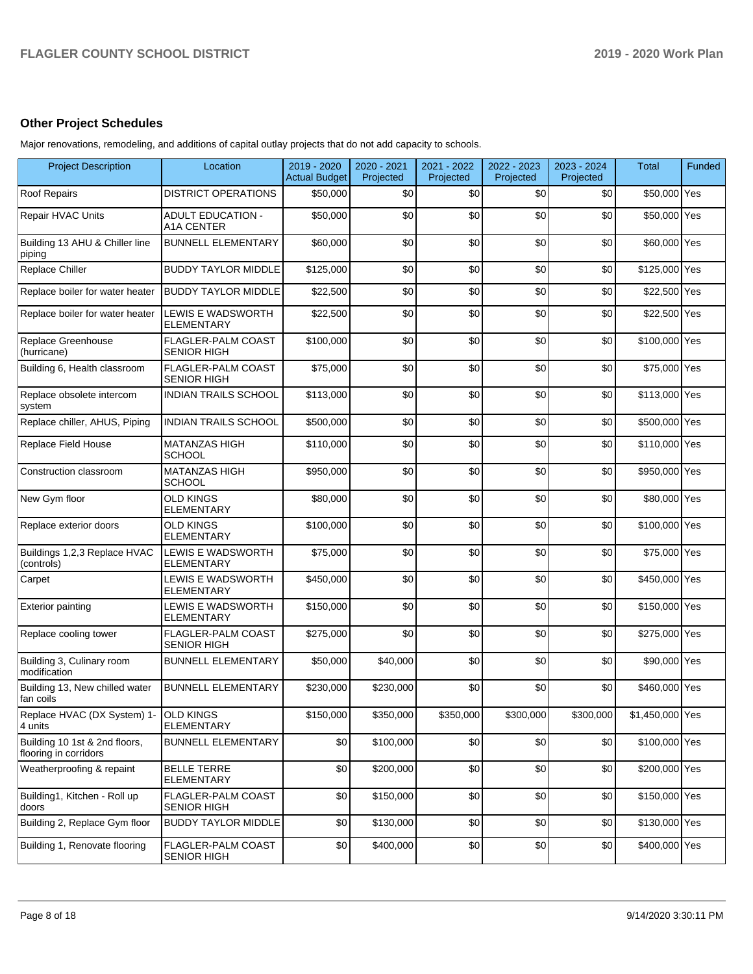# **Other Project Schedules**

Major renovations, remodeling, and additions of capital outlay projects that do not add capacity to schools.

| <b>Project Description</b>                             | Location                                        | 2019 - 2020<br><b>Actual Budget</b> | 2020 - 2021<br>Projected | 2021 - 2022<br>Projected | 2022 - 2023<br>Projected | 2023 - 2024<br>Projected | Total           | Funded |
|--------------------------------------------------------|-------------------------------------------------|-------------------------------------|--------------------------|--------------------------|--------------------------|--------------------------|-----------------|--------|
| <b>Roof Repairs</b>                                    | <b>DISTRICT OPERATIONS</b>                      | \$50,000                            | \$0                      | \$0                      | \$0                      | \$0                      | \$50,000 Yes    |        |
| Repair HVAC Units                                      | <b>ADULT EDUCATION -</b><br><b>A1A CENTER</b>   | \$50,000                            | \$0                      | \$0                      | \$0                      | \$0                      | \$50,000 Yes    |        |
| Building 13 AHU & Chiller line<br>piping               | <b>BUNNELL ELEMENTARY</b>                       | \$60,000                            | \$0                      | \$0                      | \$0                      | \$0                      | \$60,000 Yes    |        |
| Replace Chiller                                        | <b>BUDDY TAYLOR MIDDLE</b>                      | \$125,000                           | \$0                      | \$0                      | \$0                      | \$0                      | \$125,000 Yes   |        |
| Replace boiler for water heater                        | <b>BUDDY TAYLOR MIDDLE</b>                      | \$22,500                            | \$0                      | \$0                      | \$0                      | \$0                      | \$22,500 Yes    |        |
| Replace boiler for water heater                        | <b>LEWIS E WADSWORTH</b><br><b>ELEMENTARY</b>   | \$22,500                            | \$0                      | \$0                      | \$0                      | \$0                      | \$22,500 Yes    |        |
| Replace Greenhouse<br>(hurricane)                      | <b>FLAGLER-PALM COAST</b><br><b>SENIOR HIGH</b> | \$100,000                           | \$0                      | \$0                      | \$0                      | \$0                      | \$100,000 Yes   |        |
| Building 6, Health classroom                           | FLAGLER-PALM COAST<br><b>SENIOR HIGH</b>        | \$75,000                            | \$0                      | \$0                      | \$0                      | \$0                      | \$75,000 Yes    |        |
| Replace obsolete intercom<br>system                    | <b>INDIAN TRAILS SCHOOL</b>                     | \$113,000                           | \$0                      | \$0                      | \$0                      | \$0                      | \$113,000 Yes   |        |
| Replace chiller, AHUS, Piping                          | <b>INDIAN TRAILS SCHOOL</b>                     | \$500.000                           | \$0                      | \$0                      | \$0                      | \$0                      | \$500,000 Yes   |        |
| Replace Field House                                    | <b>MATANZAS HIGH</b><br><b>SCHOOL</b>           | \$110,000                           | \$0                      | \$0                      | \$0                      | \$0                      | \$110,000 Yes   |        |
| Construction classroom                                 | <b>MATANZAS HIGH</b><br><b>SCHOOL</b>           | \$950,000                           | \$0                      | \$0                      | \$0                      | \$0                      | \$950,000 Yes   |        |
| New Gym floor                                          | <b>OLD KINGS</b><br><b>ELEMENTARY</b>           | \$80,000                            | \$0                      | \$0                      | \$0                      | \$0                      | \$80,000 Yes    |        |
| Replace exterior doors                                 | <b>OLD KINGS</b><br><b>ELEMENTARY</b>           | \$100,000                           | \$0                      | \$0                      | \$0                      | \$0                      | \$100,000 Yes   |        |
| Buildings 1,2,3 Replace HVAC<br>(controls)             | LEWIS E WADSWORTH<br>ELEMENTARY                 | \$75,000                            | \$0                      | \$0                      | \$0                      | \$0                      | \$75,000 Yes    |        |
| Carpet                                                 | LEWIS E WADSWORTH<br><b>ELEMENTARY</b>          | \$450,000                           | \$0                      | \$0                      | \$0                      | \$0                      | \$450,000 Yes   |        |
| <b>Exterior painting</b>                               | LEWIS E WADSWORTH<br>ELEMENTARY                 | \$150,000                           | \$0                      | \$0                      | \$0                      | \$0                      | \$150,000 Yes   |        |
| Replace cooling tower                                  | FLAGLER-PALM COAST<br><b>SENIOR HIGH</b>        | \$275,000                           | \$0                      | \$0                      | \$0                      | \$0                      | \$275,000 Yes   |        |
| Building 3, Culinary room<br>modification              | <b>BUNNELL ELEMENTARY</b>                       | \$50,000                            | \$40,000                 | \$0                      | \$0                      | \$0                      | \$90,000 Yes    |        |
| Building 13, New chilled water<br>fan coils            | <b>BUNNELL ELEMENTARY</b>                       | \$230,000                           | \$230,000                | \$0                      | \$0                      | \$0                      | \$460,000 Yes   |        |
| Replace HVAC (DX System) 1-<br>4 units                 | <b>OLD KINGS</b><br><b>ELEMENTARY</b>           | \$150,000                           | \$350,000                | \$350,000                | \$300,000                | \$300,000                | \$1,450,000 Yes |        |
| Building 10 1st & 2nd floors,<br>flooring in corridors | <b>BUNNELL ELEMENTARY</b>                       | \$0                                 | \$100,000                | \$0                      | \$0                      | \$0                      | \$100,000 Yes   |        |
| Weatherproofing & repaint                              | <b>BELLE TERRE</b><br><b>ELEMENTARY</b>         | \$0                                 | \$200,000                | \$0                      | \$0                      | \$0                      | \$200,000 Yes   |        |
| Building1, Kitchen - Roll up<br>doors                  | FLAGLER-PALM COAST<br><b>SENIOR HIGH</b>        | \$0                                 | \$150,000                | \$0                      | \$0                      | \$0                      | \$150,000 Yes   |        |
| Building 2, Replace Gym floor                          | <b>BUDDY TAYLOR MIDDLE</b>                      | \$0                                 | \$130,000                | \$0                      | \$0                      | \$0                      | \$130,000 Yes   |        |
| Building 1, Renovate flooring                          | FLAGLER-PALM COAST<br><b>SENIOR HIGH</b>        | \$0                                 | \$400,000                | \$0                      | \$0                      | \$0                      | \$400,000 Yes   |        |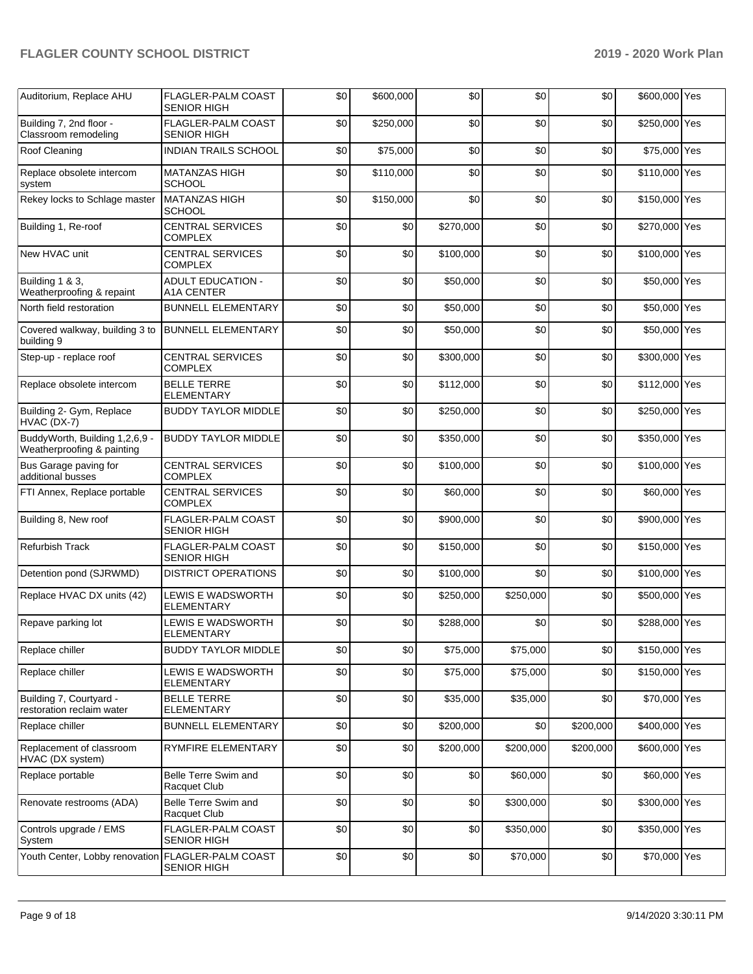| Auditorium, Replace AHU                                      | FLAGLER-PALM COAST<br><b>SENIOR HIGH</b>      | \$0 | \$600,000 | \$0       | \$0       | \$0       | \$600,000 Yes |  |
|--------------------------------------------------------------|-----------------------------------------------|-----|-----------|-----------|-----------|-----------|---------------|--|
| Building 7, 2nd floor -<br>Classroom remodeling              | FLAGLER-PALM COAST<br><b>SENIOR HIGH</b>      | \$0 | \$250,000 | \$0       | \$0       | \$0       | \$250,000 Yes |  |
| Roof Cleaning                                                | <b>INDIAN TRAILS SCHOOL</b>                   | \$0 | \$75,000  | \$0       | \$0       | \$0       | \$75,000 Yes  |  |
| Replace obsolete intercom<br>system                          | <b>MATANZAS HIGH</b><br><b>SCHOOL</b>         | \$0 | \$110,000 | \$0       | \$0       | \$0       | \$110,000 Yes |  |
| Rekey locks to Schlage master                                | <b>MATANZAS HIGH</b><br><b>SCHOOL</b>         | \$0 | \$150,000 | \$0       | \$0       | \$0       | \$150,000 Yes |  |
| Building 1, Re-roof                                          | <b>CENTRAL SERVICES</b><br><b>COMPLEX</b>     | \$0 | \$0       | \$270,000 | \$0       | \$0       | \$270,000 Yes |  |
| New HVAC unit                                                | <b>CENTRAL SERVICES</b><br><b>COMPLEX</b>     | \$0 | \$0       | \$100,000 | \$0       | \$0       | \$100,000 Yes |  |
| Building 1 & 3,<br>Weatherproofing & repaint                 | <b>ADULT EDUCATION -</b><br><b>A1A CENTER</b> | \$0 | \$0       | \$50,000  | \$0       | \$0       | \$50,000 Yes  |  |
| North field restoration                                      | <b>BUNNELL ELEMENTARY</b>                     | \$0 | \$0       | \$50,000  | \$0       | \$0       | \$50,000 Yes  |  |
| Covered walkway, building 3 to<br>building 9                 | <b>BUNNELL ELEMENTARY</b>                     | \$0 | \$0       | \$50,000  | \$0       | \$0       | \$50,000 Yes  |  |
| Step-up - replace roof                                       | <b>CENTRAL SERVICES</b><br><b>COMPLEX</b>     | \$0 | \$0       | \$300,000 | \$0       | \$0       | \$300,000 Yes |  |
| Replace obsolete intercom                                    | <b>BELLE TERRE</b><br><b>ELEMENTARY</b>       | \$0 | \$0       | \$112,000 | \$0       | \$0       | \$112,000 Yes |  |
| Building 2- Gym, Replace<br>HVAC (DX-7)                      | <b>BUDDY TAYLOR MIDDLE</b>                    | \$0 | \$0       | \$250,000 | \$0       | \$0       | \$250,000 Yes |  |
| BuddyWorth, Building 1,2,6,9 -<br>Weatherproofing & painting | <b>BUDDY TAYLOR MIDDLE</b>                    | \$0 | \$0       | \$350,000 | \$0       | \$0       | \$350,000 Yes |  |
| Bus Garage paving for<br>additional busses                   | <b>CENTRAL SERVICES</b><br><b>COMPLEX</b>     | \$0 | \$0       | \$100,000 | \$0       | \$0       | \$100,000 Yes |  |
| FTI Annex, Replace portable                                  | <b>CENTRAL SERVICES</b><br><b>COMPLEX</b>     | \$0 | \$0       | \$60,000  | \$0       | \$0       | \$60,000 Yes  |  |
| Building 8, New roof                                         | FLAGLER-PALM COAST<br><b>SENIOR HIGH</b>      | \$0 | \$0       | \$900,000 | \$0       | \$0       | \$900,000 Yes |  |
| <b>Refurbish Track</b>                                       | FLAGLER-PALM COAST<br><b>SENIOR HIGH</b>      | \$0 | \$0       | \$150,000 | \$0       | \$0       | \$150,000 Yes |  |
| Detention pond (SJRWMD)                                      | <b>DISTRICT OPERATIONS</b>                    | \$0 | \$0       | \$100,000 | \$0       | \$0       | \$100,000 Yes |  |
| Replace HVAC DX units (42)                                   | LEWIS E WADSWORTH<br><b>ELEMENTARY</b>        | \$0 | \$0       | \$250,000 | \$250,000 | \$0       | \$500,000 Yes |  |
| Repave parking lot                                           | LEWIS E WADSWORTH<br><b>ELEMENTARY</b>        | \$0 | \$0       | \$288,000 | \$0       | \$0       | \$288,000 Yes |  |
| Replace chiller                                              | <b>BUDDY TAYLOR MIDDLE</b>                    | \$0 | \$0       | \$75,000  | \$75,000  | \$0       | \$150,000 Yes |  |
| Replace chiller                                              | LEWIS E WADSWORTH<br><b>ELEMENTARY</b>        | \$0 | \$0       | \$75,000  | \$75,000  | \$0       | \$150,000 Yes |  |
| Building 7, Courtyard -<br>restoration reclaim water         | <b>BELLE TERRE</b><br><b>ELEMENTARY</b>       | \$0 | \$0       | \$35,000  | \$35,000  | \$0       | \$70,000 Yes  |  |
| Replace chiller                                              | <b>BUNNELL ELEMENTARY</b>                     | \$0 | \$0       | \$200,000 | \$0       | \$200,000 | \$400,000 Yes |  |
| Replacement of classroom<br>HVAC (DX system)                 | RYMFIRE ELEMENTARY                            | \$0 | \$0       | \$200,000 | \$200,000 | \$200,000 | \$600,000 Yes |  |
| Replace portable                                             | Belle Terre Swim and<br>Racquet Club          | \$0 | \$0       | \$0       | \$60,000  | \$0       | \$60,000 Yes  |  |
| Renovate restrooms (ADA)                                     | Belle Terre Swim and<br>Racquet Club          | \$0 | \$0       | \$0       | \$300,000 | \$0       | \$300,000 Yes |  |
| Controls upgrade / EMS<br>System                             | FLAGLER-PALM COAST<br><b>SENIOR HIGH</b>      | \$0 | \$0       | \$0       | \$350,000 | \$0       | \$350,000 Yes |  |
| Youth Center, Lobby renovation                               | FLAGLER-PALM COAST<br><b>SENIOR HIGH</b>      | \$0 | \$0       | \$0       | \$70,000  | \$0       | \$70,000 Yes  |  |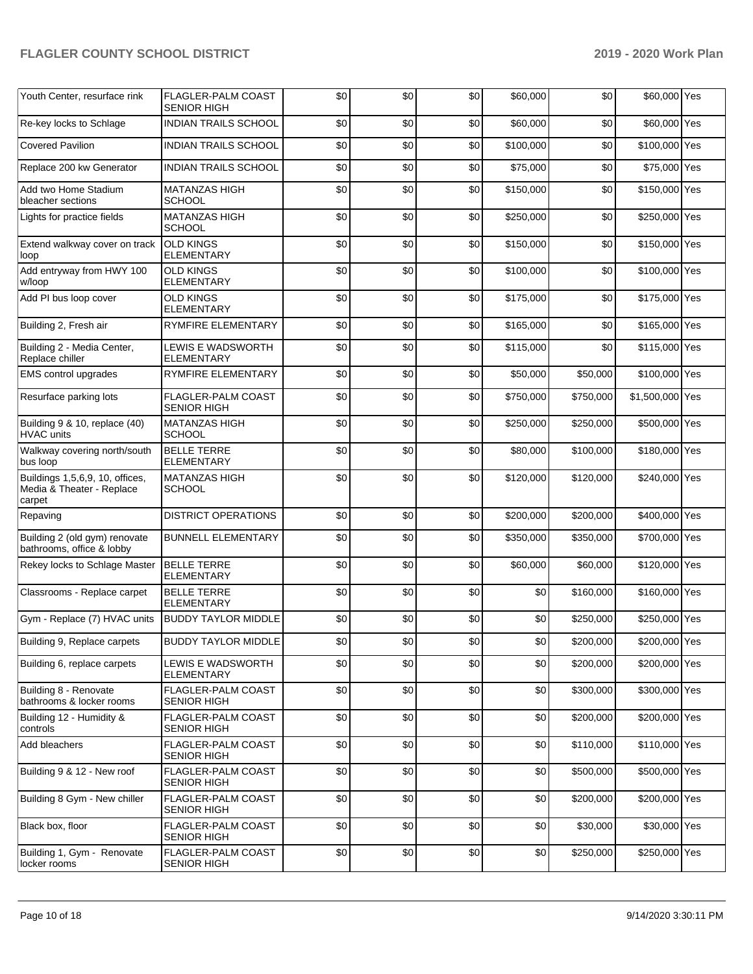| Youth Center, resurface rink                                           | <b>FLAGLER-PALM COAST</b>                       | \$0 | \$0 | \$0 | \$60,000  | \$0       | \$60,000 Yes    |  |
|------------------------------------------------------------------------|-------------------------------------------------|-----|-----|-----|-----------|-----------|-----------------|--|
| Re-key locks to Schlage                                                | <b>SENIOR HIGH</b><br>INDIAN TRAILS SCHOOL      | \$0 | \$0 | \$0 | \$60,000  | \$0       | \$60,000 Yes    |  |
|                                                                        |                                                 |     |     |     |           |           |                 |  |
| <b>Covered Pavilion</b>                                                | <b>INDIAN TRAILS SCHOOL</b>                     | \$0 | \$0 | \$0 | \$100,000 | \$0       | \$100,000 Yes   |  |
| Replace 200 kw Generator                                               | <b>INDIAN TRAILS SCHOOL</b>                     | \$0 | \$0 | \$0 | \$75,000  | \$0       | \$75,000 Yes    |  |
| Add two Home Stadium<br>bleacher sections                              | <b>MATANZAS HIGH</b><br><b>SCHOOL</b>           | \$0 | \$0 | \$0 | \$150,000 | \$0       | \$150,000 Yes   |  |
| Lights for practice fields                                             | <b>MATANZAS HIGH</b><br><b>SCHOOL</b>           | \$0 | \$0 | \$0 | \$250,000 | \$0       | \$250,000 Yes   |  |
| Extend walkway cover on track<br>loop                                  | <b>OLD KINGS</b><br><b>ELEMENTARY</b>           | \$0 | \$0 | \$0 | \$150,000 | \$0       | \$150,000 Yes   |  |
| Add entryway from HWY 100<br>w/loop                                    | <b>OLD KINGS</b><br><b>ELEMENTARY</b>           | \$0 | \$0 | \$0 | \$100,000 | \$0       | \$100,000 Yes   |  |
| Add PI bus loop cover                                                  | <b>OLD KINGS</b><br><b>ELEMENTARY</b>           | \$0 | \$0 | \$0 | \$175,000 | \$0       | \$175,000 Yes   |  |
| Building 2, Fresh air                                                  | RYMFIRE ELEMENTARY                              | \$0 | \$0 | \$0 | \$165,000 | \$0       | \$165,000 Yes   |  |
| Building 2 - Media Center,<br>Replace chiller                          | LEWIS E WADSWORTH<br><b>ELEMENTARY</b>          | \$0 | \$0 | \$0 | \$115,000 | \$0       | \$115,000 Yes   |  |
| <b>EMS</b> control upgrades                                            | <b>RYMFIRE ELEMENTARY</b>                       | \$0 | \$0 | \$0 | \$50,000  | \$50,000  | \$100,000 Yes   |  |
| Resurface parking lots                                                 | FLAGLER-PALM COAST<br><b>SENIOR HIGH</b>        | \$0 | \$0 | \$0 | \$750,000 | \$750,000 | \$1,500,000 Yes |  |
| Building 9 & 10, replace (40)<br><b>HVAC</b> units                     | <b>MATANZAS HIGH</b><br><b>SCHOOL</b>           | \$0 | \$0 | \$0 | \$250,000 | \$250,000 | \$500,000 Yes   |  |
| Walkway covering north/south<br>bus loop                               | <b>BELLE TERRE</b><br><b>ELEMENTARY</b>         | \$0 | \$0 | \$0 | \$80,000  | \$100,000 | \$180,000 Yes   |  |
| Buildings 1,5,6,9, 10, offices,<br>Media & Theater - Replace<br>carpet | <b>MATANZAS HIGH</b><br><b>SCHOOL</b>           | \$0 | \$0 | \$0 | \$120,000 | \$120,000 | \$240,000 Yes   |  |
| Repaving                                                               | <b>DISTRICT OPERATIONS</b>                      | \$0 | \$0 | \$0 | \$200,000 | \$200,000 | \$400,000 Yes   |  |
| Building 2 (old gym) renovate<br>bathrooms, office & lobby             | <b>BUNNELL ELEMENTARY</b>                       | \$0 | \$0 | \$0 | \$350,000 | \$350,000 | \$700,000 Yes   |  |
| Rekey locks to Schlage Master                                          | <b>BELLE TERRE</b><br><b>ELEMENTARY</b>         | \$0 | \$0 | \$0 | \$60,000  | \$60,000  | \$120,000 Yes   |  |
| Classrooms - Replace carpet                                            | <b>BELLE TERRE</b><br><b>ELEMENTARY</b>         | \$0 | \$0 | \$0 | \$0       | \$160,000 | \$160,000 Yes   |  |
| Gym - Replace (7) HVAC units                                           | <b>BUDDY TAYLOR MIDDLE</b>                      | \$0 | \$0 | \$0 | \$0       | \$250,000 | \$250,000 Yes   |  |
| Building 9, Replace carpets                                            | <b>BUDDY TAYLOR MIDDLE</b>                      | \$0 | \$0 | \$0 | \$0       | \$200,000 | \$200,000 Yes   |  |
| Building 6, replace carpets                                            | LEWIS E WADSWORTH<br><b>ELEMENTARY</b>          | \$0 | \$0 | \$0 | \$0       | \$200,000 | \$200,000 Yes   |  |
| Building 8 - Renovate<br>bathrooms & locker rooms                      | <b>FLAGLER-PALM COAST</b><br><b>SENIOR HIGH</b> | \$0 | \$0 | \$0 | \$0       | \$300,000 | \$300,000 Yes   |  |
| Building 12 - Humidity &<br>controls                                   | FLAGLER-PALM COAST<br><b>SENIOR HIGH</b>        | \$0 | \$0 | \$0 | \$0       | \$200,000 | \$200,000 Yes   |  |
| Add bleachers                                                          | FLAGLER-PALM COAST<br><b>SENIOR HIGH</b>        | \$0 | \$0 | \$0 | \$0       | \$110,000 | \$110,000 Yes   |  |
| Building 9 & 12 - New roof                                             | FLAGLER-PALM COAST<br><b>SENIOR HIGH</b>        | \$0 | \$0 | \$0 | \$0       | \$500,000 | \$500,000 Yes   |  |
| Building 8 Gym - New chiller                                           | FLAGLER-PALM COAST<br><b>SENIOR HIGH</b>        | \$0 | \$0 | \$0 | \$0       | \$200,000 | \$200,000 Yes   |  |
| Black box, floor                                                       | FLAGLER-PALM COAST<br><b>SENIOR HIGH</b>        | \$0 | \$0 | \$0 | \$0       | \$30,000  | \$30,000 Yes    |  |
| Building 1, Gym - Renovate<br>locker rooms                             | FLAGLER-PALM COAST<br><b>SENIOR HIGH</b>        | \$0 | \$0 | \$0 | \$0       | \$250,000 | \$250,000 Yes   |  |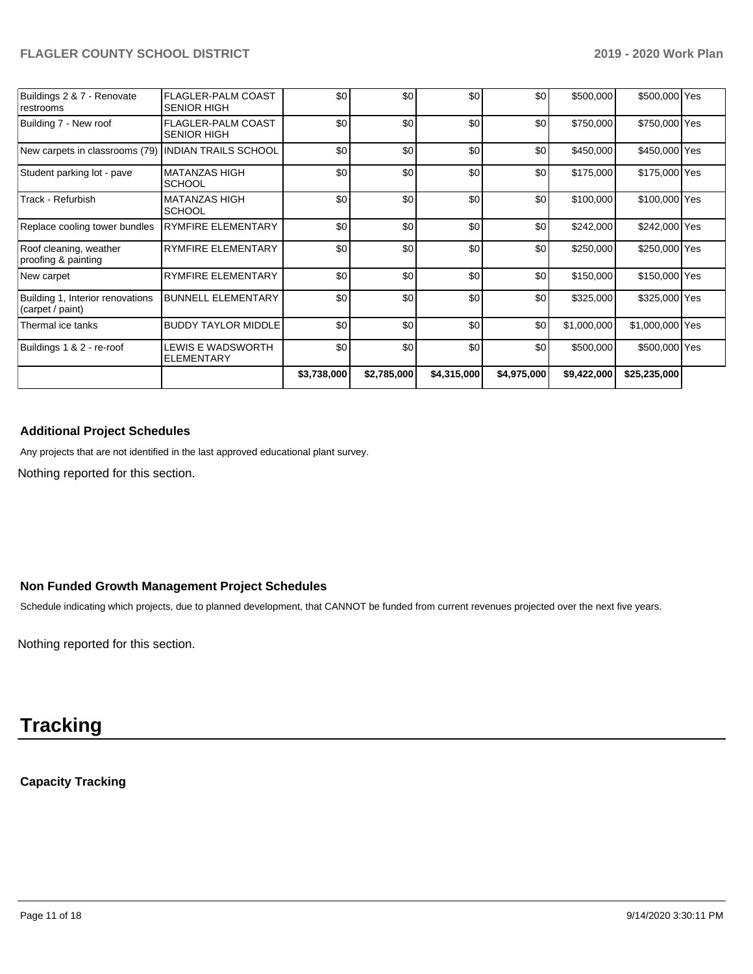|                                                      |                                                 | \$3,738,000 | \$2,785,000 | \$4,315,000 | \$4,975,000 | \$9,422,000 | \$25,235,000    |  |
|------------------------------------------------------|-------------------------------------------------|-------------|-------------|-------------|-------------|-------------|-----------------|--|
| Buildings 1 & 2 - re-roof                            | LEWIS E WADSWORTH<br><b>ELEMENTARY</b>          | \$0         | \$0         | \$0         | \$0         | \$500,000   | \$500,000 Yes   |  |
| Thermal ice tanks                                    | <b>BUDDY TAYLOR MIDDLE</b>                      | \$0         | \$0         | \$0         | \$0         | \$1,000,000 | \$1,000,000 Yes |  |
| Building 1, Interior renovations<br>(carpet / paint) | <b>BUNNELL ELEMENTARY</b>                       | \$0         | \$0         | \$0         | \$0         | \$325,000   | \$325,000 Yes   |  |
| New carpet                                           | <b>RYMFIRE ELEMENTARY</b>                       | \$0         | \$0         | \$0         | \$0         | \$150,000   | \$150,000 Yes   |  |
| Roof cleaning, weather<br>proofing & painting        | <b>RYMFIRE ELEMENTARY</b>                       | \$0         | \$0         | \$0         | \$0         | \$250,000   | \$250,000 Yes   |  |
| Replace cooling tower bundles                        | RYMFIRE ELEMENTARY                              | \$0         | \$0         | \$0         | \$0         | \$242,000   | \$242,000 Yes   |  |
| Track - Refurbish                                    | <b>MATANZAS HIGH</b><br><b>SCHOOL</b>           | \$0         | \$0         | \$0         | \$0         | \$100,000   | \$100,000 Yes   |  |
| Student parking lot - pave                           | <b>MATANZAS HIGH</b><br><b>SCHOOL</b>           | \$0         | \$0         | \$0         | \$0         | \$175,000   | \$175,000 Yes   |  |
| New carpets in classrooms (79)                       | <b>INDIAN TRAILS SCHOOL</b>                     | \$0         | \$0         | \$0         | \$0         | \$450,000   | \$450,000 Yes   |  |
| Building 7 - New roof                                | <b>FLAGLER-PALM COAST</b><br><b>SENIOR HIGH</b> | \$0         | \$0         | \$0         | \$0         | \$750,000   | \$750,000 Yes   |  |
| Buildings 2 & 7 - Renovate<br>restrooms              | <b>FLAGLER-PALM COAST</b><br><b>SENIOR HIGH</b> | \$0         | \$0         | \$0         | \$0         | \$500,000   | \$500,000 Yes   |  |

# **Additional Project Schedules**

Any projects that are not identified in the last approved educational plant survey.

Nothing reported for this section.

# **Non Funded Growth Management Project Schedules**

Schedule indicating which projects, due to planned development, that CANNOT be funded from current revenues projected over the next five years.

Nothing reported for this section.

# **Tracking**

# **Capacity Tracking**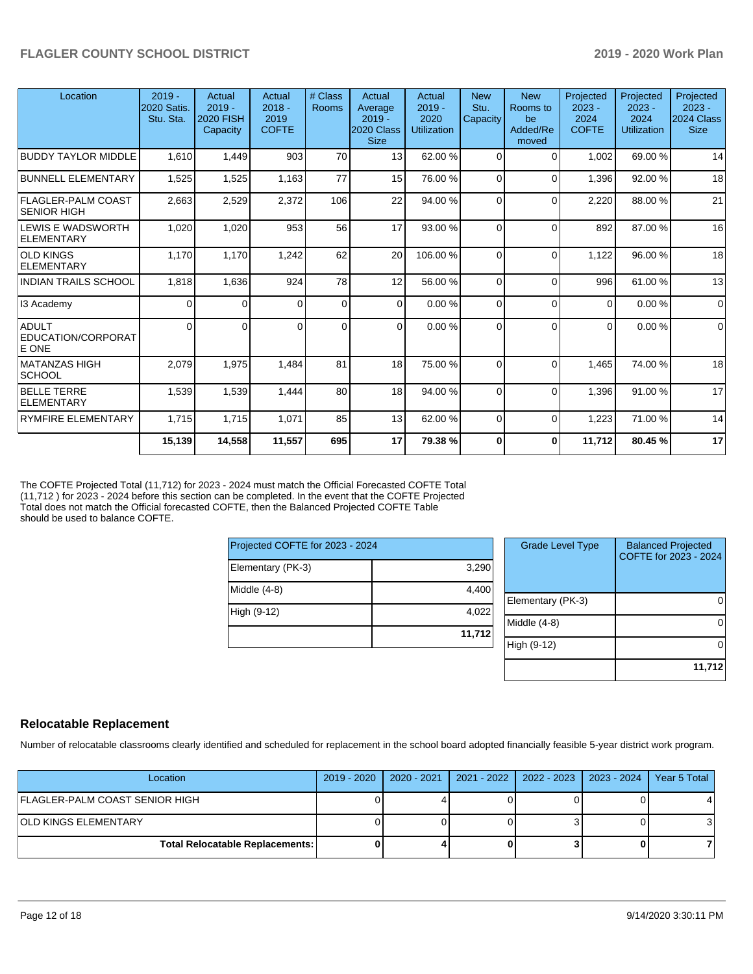| Location                             | $2019 -$<br>2020 Satis.<br>Stu. Sta. | Actual<br>$2019 -$<br><b>2020 FISH</b><br>Capacity | Actual<br>$2018 -$<br>2019<br><b>COFTE</b> | # Class<br>Rooms | Actual<br>Average<br>$2019 -$<br>2020 Class<br><b>Size</b> | Actual<br>$2019 -$<br>2020<br><b>Utilization</b> | <b>New</b><br>Stu.<br>Capacity | <b>New</b><br>Rooms to<br>be<br>Added/Re<br>moved | Projected<br>$2023 -$<br>2024<br><b>COFTE</b> | Projected<br>$2023 -$<br>2024<br><b>Utilization</b> | Projected<br>$2023 -$<br>2024 Class<br><b>Size</b> |
|--------------------------------------|--------------------------------------|----------------------------------------------------|--------------------------------------------|------------------|------------------------------------------------------------|--------------------------------------------------|--------------------------------|---------------------------------------------------|-----------------------------------------------|-----------------------------------------------------|----------------------------------------------------|
| <b>BUDDY TAYLOR MIDDLE</b>           | 1,610                                | 1,449                                              | 903                                        | 70               | 13                                                         | 62.00 %                                          | 0                              | $\Omega$                                          | 1,002                                         | 69.00 %                                             | 14                                                 |
| <b>BUNNELL ELEMENTARY</b>            | 1,525                                | 1,525                                              | 1,163                                      | 77               | 15                                                         | 76.00 %                                          | $\Omega$                       | $\Omega$                                          | 1,396                                         | 92.00 %                                             | 18                                                 |
| FLAGLER-PALM COAST<br> SENIOR HIGH   | 2,663                                | 2,529                                              | 2,372                                      | 106              | 22                                                         | 94.00 %                                          | $\Omega$                       | $\Omega$                                          | 2,220                                         | 88.00 %                                             | 21                                                 |
| ILEWIS E WADSWORTH<br>ELEMENTARY     | 1,020                                | 1,020                                              | 953                                        | 56               | 17                                                         | 93.00 %                                          | $\Omega$                       | $\Omega$                                          | 892                                           | 87.00 %                                             | 16                                                 |
| <b>OLD KINGS</b><br>ELEMENTARY       | 1.170                                | 1,170                                              | 1,242                                      | 62               | 20                                                         | 106.00%                                          | $\Omega$                       | $\Omega$                                          | 1.122                                         | 96.00 %                                             | 18                                                 |
| <b>INDIAN TRAILS SCHOOL</b>          | 1,818                                | 1,636                                              | 924                                        | 78               | 12                                                         | 56.00 %                                          | 0                              | $\Omega$                                          | 996                                           | 61.00 %                                             | 13                                                 |
| 13 Academy                           | $\Omega$                             | 0                                                  | 0                                          | $\overline{0}$   | $\Omega$                                                   | 0.00%                                            | 0                              | $\Omega$                                          | $\Omega$                                      | 0.00%                                               | $\Omega$                                           |
| ADULT<br>EDUCATION/CORPORAT<br>E ONE | $\Omega$                             | 0                                                  | 0                                          | 0                | $\Omega$                                                   | 0.00%                                            | 0                              | $\Omega$                                          | $\Omega$                                      | 0.00%                                               | $\mathbf 0$                                        |
| MATANZAS HIGH<br> SCHOOL             | 2,079                                | 1,975                                              | 1,484                                      | 81               | 18                                                         | 75.00 %                                          | $\Omega$                       | $\Omega$                                          | 1,465                                         | 74.00 %                                             | 18                                                 |
| <b>BELLE TERRE</b><br>ELEMENTARY     | 1,539                                | 1,539                                              | 1,444                                      | 80               | 18                                                         | 94.00 %                                          | $\Omega$                       | $\Omega$                                          | 1,396                                         | 91.00 %                                             | 17                                                 |
| <b>RYMFIRE ELEMENTARY</b>            | 1,715                                | 1,715                                              | 1,071                                      | 85               | 13                                                         | 62.00 %                                          | $\Omega$                       | $\Omega$                                          | 1,223                                         | 71.00 %                                             | 14                                                 |
|                                      | 15,139                               | 14,558                                             | 11,557                                     | 695              | 17                                                         | 79.38 %                                          | 0                              | $\bf{0}$                                          | 11,712                                        | 80.45 %                                             | 17                                                 |

The COFTE Projected Total (11,712) for 2023 - 2024 must match the Official Forecasted COFTE Total (11,712 ) for 2023 - 2024 before this section can be completed. In the event that the COFTE Projected Total does not match the Official forecasted COFTE, then the Balanced Projected COFTE Table should be used to balance COFTE.

| Projected COFTE for 2023 - 2024 |        |  |  |  |  |  |
|---------------------------------|--------|--|--|--|--|--|
| Elementary (PK-3)               | 3,290  |  |  |  |  |  |
| Middle $(4-8)$                  | 4,400  |  |  |  |  |  |
| High (9-12)                     | 4,022  |  |  |  |  |  |
|                                 | 11,712 |  |  |  |  |  |

| <b>Grade Level Type</b> | <b>Balanced Projected</b><br>COFTE for 2023 - 2024 |
|-------------------------|----------------------------------------------------|
| Elementary (PK-3)       |                                                    |
| Middle (4-8)            |                                                    |
| High (9-12)             |                                                    |
|                         | 11,712                                             |

# **Relocatable Replacement**

Number of relocatable classrooms clearly identified and scheduled for replacement in the school board adopted financially feasible 5-year district work program.

| Location                                 | 2019 - 2020   2020 - 2021 | 2021 - 2022   2022 - 2023   2023 - 2024 | Year 5 Total |
|------------------------------------------|---------------------------|-----------------------------------------|--------------|
| FLAGLER-PALM COAST SENIOR HIGH           |                           |                                         |              |
| IOLD KINGS ELEMENTARY                    |                           |                                         |              |
| <b>Total Relocatable Replacements: I</b> |                           |                                         |              |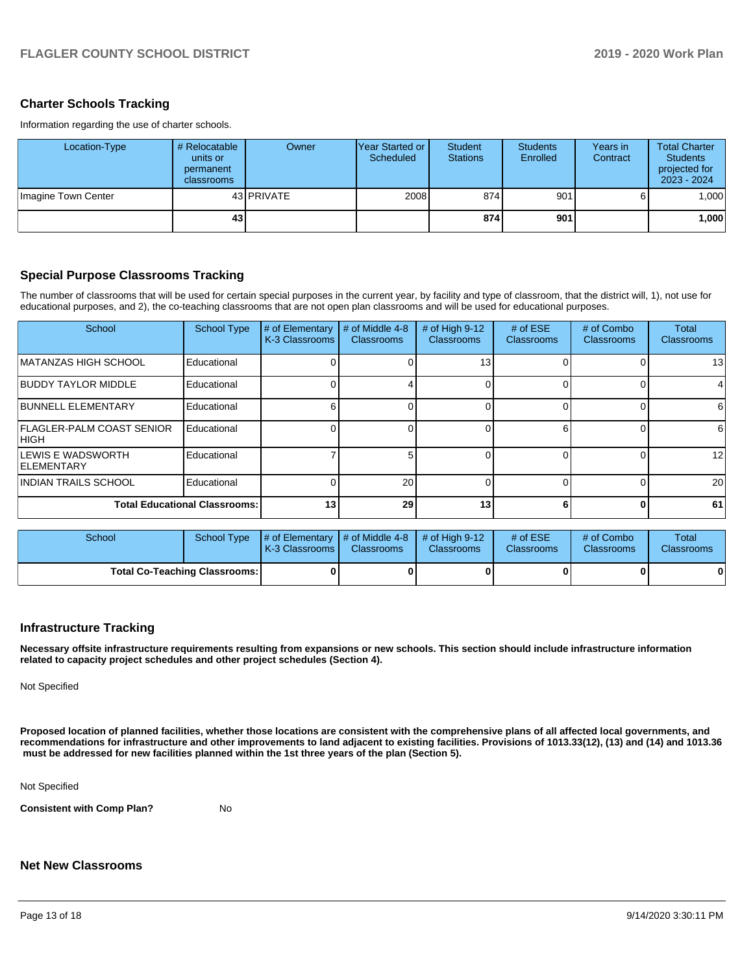### **Charter Schools Tracking**

Information regarding the use of charter schools.

| Location-Type       | # Relocatable<br>units or<br>permanent<br>classrooms | Owner             | IYear Started or I<br>Scheduled | Student<br><b>Stations</b> | <b>Students</b><br>Enrolled | Years in<br>Contract | <b>Total Charter</b><br><b>Students</b><br>projected for<br>$2023 - 2024$ |
|---------------------|------------------------------------------------------|-------------------|---------------------------------|----------------------------|-----------------------------|----------------------|---------------------------------------------------------------------------|
| Imagine Town Center |                                                      | 43 <b>PRIVATE</b> | 2008                            | 874                        | 901                         |                      | 1.000                                                                     |
|                     | 43 <sup>1</sup>                                      |                   |                                 | 874                        | 901                         |                      | ∣000.1                                                                    |

## **Special Purpose Classrooms Tracking**

The number of classrooms that will be used for certain special purposes in the current year, by facility and type of classroom, that the district will, 1), not use for educational purposes, and 2), the co-teaching classrooms that are not open plan classrooms and will be used for educational purposes.

| School                                     | <b>School Type</b> | # of Elementary<br>K-3 Classrooms | # of Middle 4-8<br><b>Classrooms</b> | # of High 9-12<br><b>Classrooms</b> | # of $ESE$<br><b>Classrooms</b> | # of Combo<br><b>Classrooms</b> | Total<br><b>Classrooms</b> |
|--------------------------------------------|--------------------|-----------------------------------|--------------------------------------|-------------------------------------|---------------------------------|---------------------------------|----------------------------|
| IMATANZAS HIGH SCHOOL                      | Educational        |                                   |                                      | 13                                  |                                 |                                 | 13                         |
| <b>BUDDY TAYLOR MIDDLE</b>                 | Educational        |                                   |                                      |                                     |                                 |                                 | 4                          |
| <b>BUNNELL ELEMENTARY</b>                  | Educational        |                                   |                                      |                                     |                                 |                                 | 61                         |
| <b>IFLAGLER-PALM COAST SENIOR</b><br> HIGH | Educational        |                                   |                                      |                                     |                                 |                                 | 6                          |
| ILEWIS E WADSWORTH<br><b>IELEMENTARY</b>   | Educational        |                                   |                                      |                                     |                                 | 0                               | 12                         |
| IINDIAN TRAILS SCHOOL                      | Educational        |                                   | 20                                   |                                     |                                 | 0                               | 20                         |
| <b>Total Educational Classrooms:</b>       | 13                 | 29                                | 13                                   |                                     | O                               | 61                              |                            |

| School                               |  | School Type $\frac{1}{4}$ of Elementary $\frac{1}{4}$ of Middle 4-8 $\frac{1}{4}$ of High 9-12<br><b>IK-3 Classrooms I</b> | <b>Classrooms</b> | <b>Classrooms</b> | # of $ESE$<br>Classrooms | # of Combo<br><b>Classrooms</b> | Total<br><b>Classrooms</b> |
|--------------------------------------|--|----------------------------------------------------------------------------------------------------------------------------|-------------------|-------------------|--------------------------|---------------------------------|----------------------------|
| <b>Total Co-Teaching Classrooms:</b> |  |                                                                                                                            |                   |                   |                          |                                 | 0                          |

#### **Infrastructure Tracking**

**Necessary offsite infrastructure requirements resulting from expansions or new schools. This section should include infrastructure information related to capacity project schedules and other project schedules (Section 4).** 

Not Specified

**Proposed location of planned facilities, whether those locations are consistent with the comprehensive plans of all affected local governments, and recommendations for infrastructure and other improvements to land adjacent to existing facilities. Provisions of 1013.33(12), (13) and (14) and 1013.36 must be addressed for new facilities planned within the 1st three years of the plan (Section 5).** 

Not Specified

**Consistent with Comp Plan?** No

# **Net New Classrooms**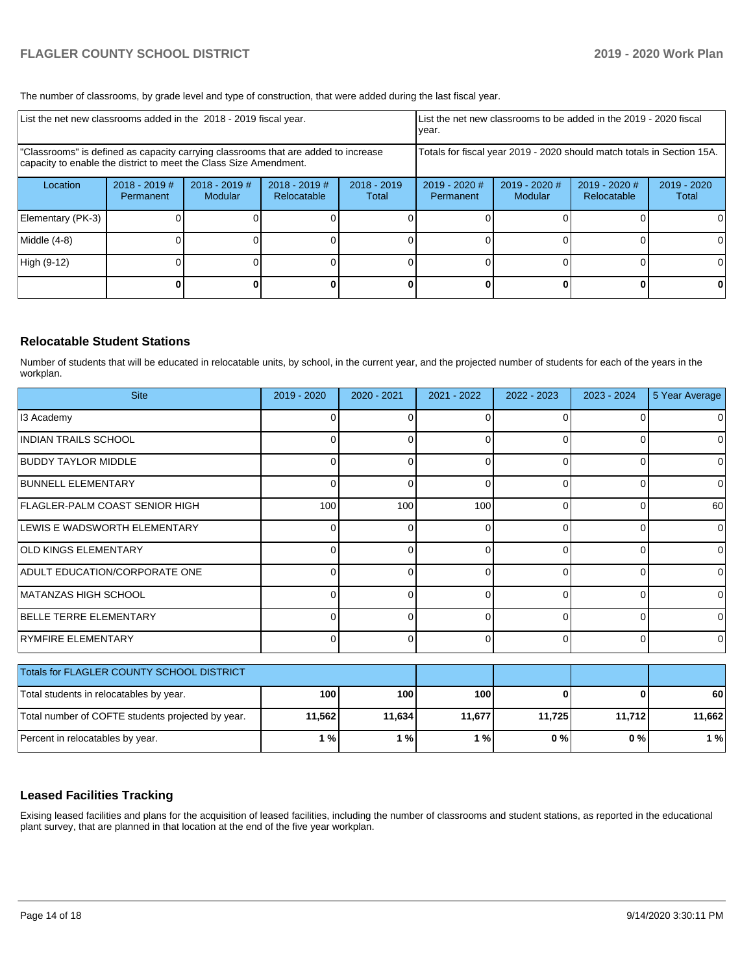The number of classrooms, by grade level and type of construction, that were added during the last fiscal year.

| List the net new classrooms added in the 2018 - 2019 fiscal year.                                                                                       | List the net new classrooms to be added in the 2019 - 2020 fiscal<br>year. |                                   |                              |                                                                        |                            |                            |                              |                      |
|---------------------------------------------------------------------------------------------------------------------------------------------------------|----------------------------------------------------------------------------|-----------------------------------|------------------------------|------------------------------------------------------------------------|----------------------------|----------------------------|------------------------------|----------------------|
| "Classrooms" is defined as capacity carrying classrooms that are added to increase<br>capacity to enable the district to meet the Class Size Amendment. |                                                                            |                                   |                              | Totals for fiscal year 2019 - 2020 should match totals in Section 15A. |                            |                            |                              |                      |
| Location                                                                                                                                                | $2018 - 2019$ #<br>Permanent                                               | $2018 - 2019$ #<br><b>Modular</b> | 2018 - 2019 #<br>Relocatable | $2018 - 2019$<br>Total                                                 | 2019 - 2020 #<br>Permanent | $2019 - 2020$ #<br>Modular | 2019 - 2020 #<br>Relocatable | 2019 - 2020<br>Total |
| Elementary (PK-3)                                                                                                                                       |                                                                            |                                   |                              |                                                                        |                            |                            |                              | 0                    |
| Middle (4-8)                                                                                                                                            |                                                                            |                                   |                              |                                                                        |                            |                            |                              | 0                    |
| High (9-12)                                                                                                                                             |                                                                            |                                   |                              |                                                                        |                            |                            |                              | $\Omega$             |
|                                                                                                                                                         |                                                                            |                                   |                              |                                                                        |                            |                            |                              | 0                    |

## **Relocatable Student Stations**

Number of students that will be educated in relocatable units, by school, in the current year, and the projected number of students for each of the years in the workplan.

| <b>Site</b>                                       | 2019 - 2020 | $2020 - 2021$ | 2021 - 2022 | 2022 - 2023 | 2023 - 2024 | 5 Year Average |
|---------------------------------------------------|-------------|---------------|-------------|-------------|-------------|----------------|
| 13 Academy                                        | 0           |               | 0           | O           | 0           | 0              |
| IINDIAN TRAILS SCHOOL                             | 0           |               | 0           | $\Omega$    | 0           | 0              |
| <b>BUDDY TAYLOR MIDDLE</b>                        | 0           |               | 0           | $\Omega$    | $\Omega$    | 0              |
| <b>BUNNELL ELEMENTARY</b>                         | 0           | n             | 0           | $\Omega$    | 0           | 0              |
| FLAGLER-PALM COAST SENIOR HIGH                    | 100         | 100           | 100         | $\Omega$    | 0           | 60             |
| LEWIS E WADSWORTH ELEMENTARY                      | 0           |               | 0           | $\Omega$    | 0           | $\Omega$       |
| <b>OLD KINGS ELEMENTARY</b>                       | 0           |               | ŋ           |             | 0           | 0              |
| ADULT EDUCATION/CORPORATE ONE                     | $\Omega$    | ი             | 0           | $\Omega$    | 0           | $\Omega$       |
| IMATANZAS HIGH SCHOOL                             | 0           | n             | $\Omega$    | $\Omega$    | 0           | 0              |
| <b>BELLE TERRE ELEMENTARY</b>                     | 0           |               | $\Omega$    | $\Omega$    | $\Omega$    | 0              |
| RYMFIRE ELEMENTARY                                | $\Omega$    | 0             | 0           | $\Omega$    | $\Omega$    | 0              |
| Totals for FLAGLER COUNTY SCHOOL DISTRICT         |             |               |             |             |             |                |
| Total students in relocatables by year.           | 100         | 100           | 100         |             |             | 60             |
| Total number of COFTE students projected by year. | 11,562      | 11,634        | 11,677      | 11,725      | 11,712      | 11,662         |
| Percent in relocatables by year.                  | 1%          | 1%            | 1%          | 0%          | 0%          | 1%             |

# **Leased Facilities Tracking**

Exising leased facilities and plans for the acquisition of leased facilities, including the number of classrooms and student stations, as reported in the educational plant survey, that are planned in that location at the end of the five year workplan.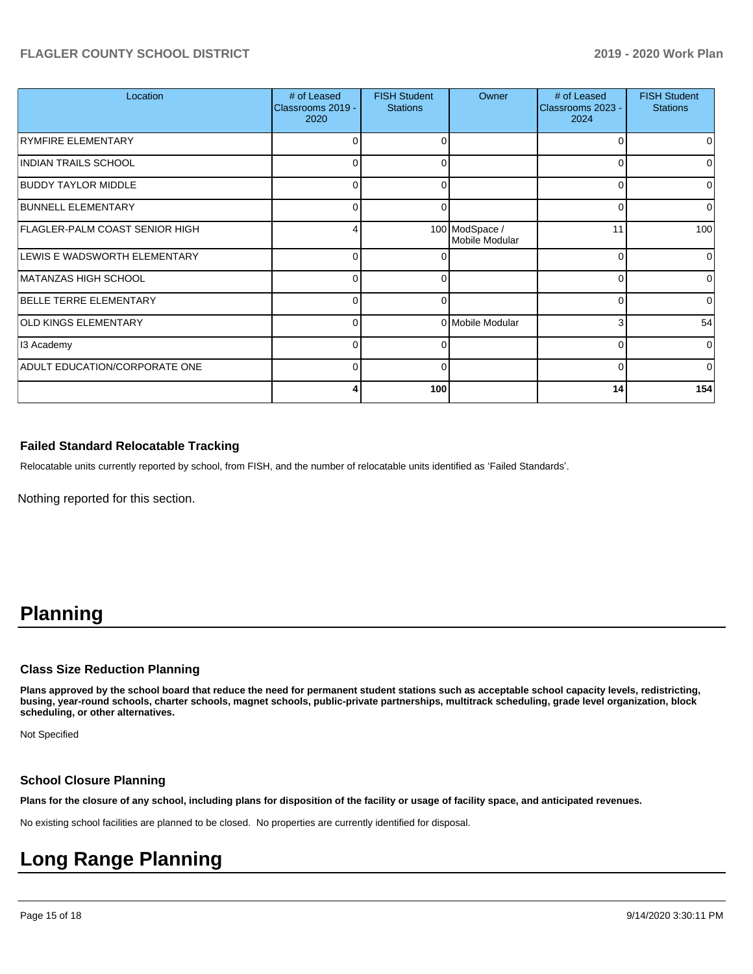| Location                              | # of Leased<br>Classrooms 2019 -<br>2020 | <b>FISH Student</b><br><b>Stations</b> | Owner                            | # of Leased<br>Classrooms 2023 -<br>2024 | <b>FISH Student</b><br><b>Stations</b> |
|---------------------------------------|------------------------------------------|----------------------------------------|----------------------------------|------------------------------------------|----------------------------------------|
| RYMFIRE ELEMENTARY                    | 0                                        | O                                      |                                  | $\Omega$                                 |                                        |
| IINDIAN TRAILS SCHOOL                 | 0                                        | 0                                      |                                  | 0                                        |                                        |
| <b>BUDDY TAYLOR MIDDLE</b>            | $\Omega$                                 | O                                      |                                  | 0                                        | U                                      |
| <b>BUNNELL ELEMENTARY</b>             | 0                                        | 0                                      |                                  | 0                                        |                                        |
| <b>FLAGLER-PALM COAST SENIOR HIGH</b> | 4                                        |                                        | 100 ModSpace /<br>Mobile Modular | 11                                       | 100                                    |
| LEWIS E WADSWORTH ELEMENTARY          | 0                                        |                                        |                                  | 0                                        | $\Omega$                               |
| MATANZAS HIGH SCHOOL                  | $\Omega$                                 | ∩                                      |                                  | 0                                        |                                        |
| <b>BELLE TERRE ELEMENTARY</b>         | 0                                        | 0                                      |                                  | $\Omega$                                 | $\Omega$                               |
| <b>OLD KINGS ELEMENTARY</b>           | 0                                        |                                        | 0 Mobile Modular                 | 3                                        | 54                                     |
| 13 Academy                            | $\Omega$                                 | U                                      |                                  | $\Omega$                                 | $\Omega$                               |
| ADULT EDUCATION/CORPORATE ONE         | 0                                        | 0                                      |                                  | 0                                        | $\Omega$                               |
|                                       |                                          | 100                                    |                                  | 14                                       | 154                                    |

## **Failed Standard Relocatable Tracking**

Relocatable units currently reported by school, from FISH, and the number of relocatable units identified as 'Failed Standards'.

Nothing reported for this section.

# **Planning**

#### **Class Size Reduction Planning**

**Plans approved by the school board that reduce the need for permanent student stations such as acceptable school capacity levels, redistricting, busing, year-round schools, charter schools, magnet schools, public-private partnerships, multitrack scheduling, grade level organization, block scheduling, or other alternatives.**

Not Specified

#### **School Closure Planning**

**Plans for the closure of any school, including plans for disposition of the facility or usage of facility space, and anticipated revenues.** 

No existing school facilities are planned to be closed. No properties are currently identified for disposal.

# **Long Range Planning**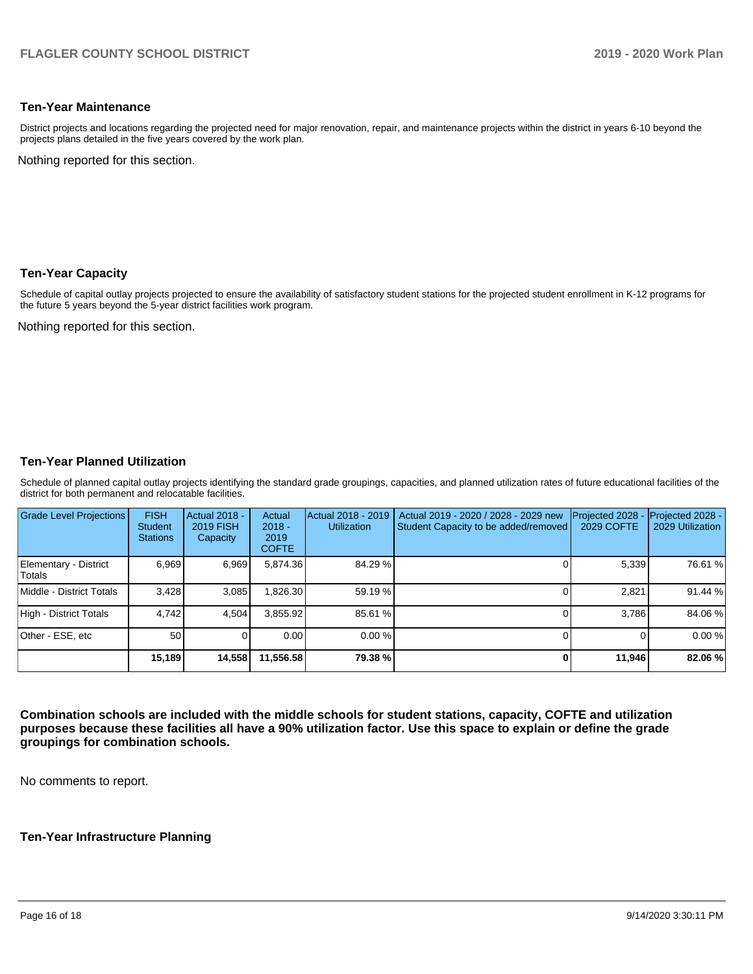#### **Ten-Year Maintenance**

District projects and locations regarding the projected need for major renovation, repair, and maintenance projects within the district in years 6-10 beyond the projects plans detailed in the five years covered by the work plan.

Nothing reported for this section.

## **Ten-Year Capacity**

Schedule of capital outlay projects projected to ensure the availability of satisfactory student stations for the projected student enrollment in K-12 programs for the future 5 years beyond the 5-year district facilities work program.

Nothing reported for this section.

#### **Ten-Year Planned Utilization**

Schedule of planned capital outlay projects identifying the standard grade groupings, capacities, and planned utilization rates of future educational facilities of the district for both permanent and relocatable facilities.

| <b>Grade Level Projections</b>  | <b>FISH</b><br><b>Student</b><br><b>Stations</b> | <b>Actual 2018 -</b><br><b>2019 FISH</b><br>Capacity | Actual<br>$2018 -$<br>2019<br><b>COFTE</b> | Actual 2018 - 2019<br><b>Utilization</b> | Actual 2019 - 2020 / 2028 - 2029 new<br>Student Capacity to be added/removed | Projected 2028<br><b>2029 COFTE</b> | Projected 2028 -<br>2029 Utilization |
|---------------------------------|--------------------------------------------------|------------------------------------------------------|--------------------------------------------|------------------------------------------|------------------------------------------------------------------------------|-------------------------------------|--------------------------------------|
| Elementary - District<br>Totals | 6.969                                            | 6,969                                                | 5.874.36                                   | 84.29 %                                  |                                                                              | 5,339                               | 76.61 %                              |
| Middle - District Totals        | 3.428                                            | 3.085                                                | 1,826.30                                   | 59.19 %                                  |                                                                              | 2,821                               | 91.44 %                              |
| High - District Totals          | 4.742                                            | 4,504                                                | 3.855.92                                   | 85.61 %                                  |                                                                              | 3.786                               | 84.06%                               |
| Other - ESE, etc                | 50                                               |                                                      | 0.00                                       | $0.00\%$                                 |                                                                              |                                     | 0.00%                                |
|                                 | 15,189                                           | 14,558                                               | 11,556.58                                  | 79.38%                                   |                                                                              | 11,946                              | 82.06 %                              |

**Combination schools are included with the middle schools for student stations, capacity, COFTE and utilization purposes because these facilities all have a 90% utilization factor. Use this space to explain or define the grade groupings for combination schools.** 

No comments to report.

#### **Ten-Year Infrastructure Planning**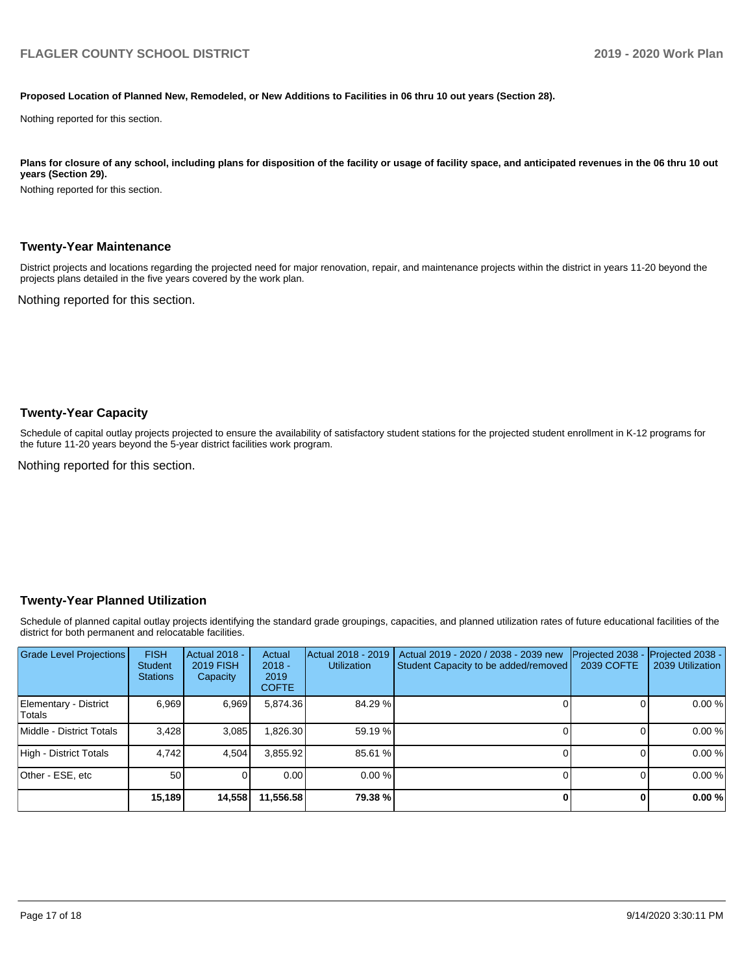#### **Proposed Location of Planned New, Remodeled, or New Additions to Facilities in 06 thru 10 out years (Section 28).**

Nothing reported for this section.

Plans for closure of any school, including plans for disposition of the facility or usage of facility space, and anticipated revenues in the 06 thru 10 out **years (Section 29).**

Nothing reported for this section.

#### **Twenty-Year Maintenance**

District projects and locations regarding the projected need for major renovation, repair, and maintenance projects within the district in years 11-20 beyond the projects plans detailed in the five years covered by the work plan.

Nothing reported for this section.

#### **Twenty-Year Capacity**

Schedule of capital outlay projects projected to ensure the availability of satisfactory student stations for the projected student enrollment in K-12 programs for the future 11-20 years beyond the 5-year district facilities work program.

Nothing reported for this section.

#### **Twenty-Year Planned Utilization**

Schedule of planned capital outlay projects identifying the standard grade groupings, capacities, and planned utilization rates of future educational facilities of the district for both permanent and relocatable facilities.

| Grade Level Projections         | <b>FISH</b><br><b>Student</b><br><b>Stations</b> | <b>Actual 2018 -</b><br><b>2019 FISH</b><br>Capacity | Actual<br>$2018 -$<br>2019<br><b>COFTE</b> | Actual 2018 - 2019<br><b>Utilization</b> | Actual 2019 - 2020 / 2038 - 2039 new<br>Student Capacity to be added/removed | Projected 2038<br>2039 COFTE | Projected 2038 -<br>2039 Utilization |
|---------------------------------|--------------------------------------------------|------------------------------------------------------|--------------------------------------------|------------------------------------------|------------------------------------------------------------------------------|------------------------------|--------------------------------------|
| Elementary - District<br>Totals | 6.969                                            | 6,969                                                | 5,874.36                                   | 84.29 %                                  |                                                                              |                              | 0.00%                                |
| Middle - District Totals        | 3.428                                            | 3.085                                                | .826.30                                    | 59.19 %                                  |                                                                              |                              | 0.00%                                |
| High - District Totals          | 4.742                                            | 4,504                                                | 3,855.92                                   | 85.61 %                                  |                                                                              |                              | 0.00%                                |
| Other - ESE, etc                | 50                                               |                                                      | 0.00                                       | 0.00%                                    |                                                                              |                              | 0.00%                                |
|                                 | 15,189                                           | 14,558                                               | 11,556.58                                  | 79.38 %                                  |                                                                              |                              | 0.00%                                |